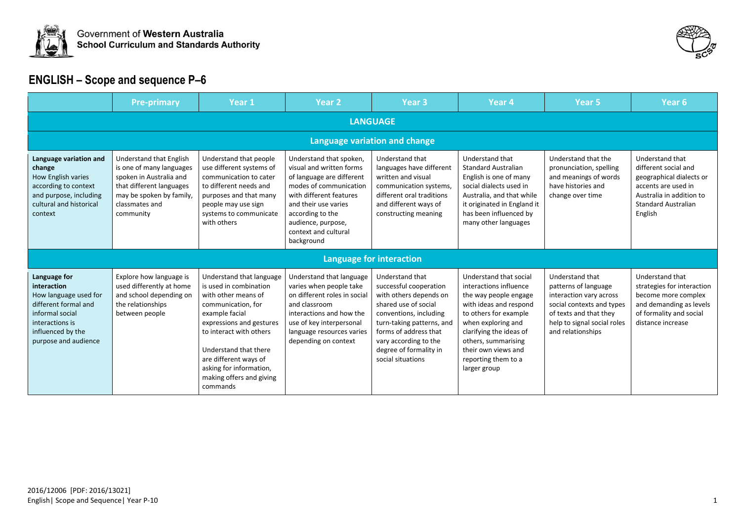



|                                                                                                                                                                 | <b>Pre-primary</b>                                                                                                                                                    | Year 1                                                                                                                                                                                                                                                                                        | <b>Year 2</b>                                                                                                                                                                                                                                 | Year <sub>3</sub>                                                                                                                                                                                                                                   | Year <sub>4</sub>                                                                                                                                                                                                                                                  | Year <sub>5</sub>                                                                                                                                                             | Year <sub>6</sub>                                                                                                                                               |  |  |  |  |
|-----------------------------------------------------------------------------------------------------------------------------------------------------------------|-----------------------------------------------------------------------------------------------------------------------------------------------------------------------|-----------------------------------------------------------------------------------------------------------------------------------------------------------------------------------------------------------------------------------------------------------------------------------------------|-----------------------------------------------------------------------------------------------------------------------------------------------------------------------------------------------------------------------------------------------|-----------------------------------------------------------------------------------------------------------------------------------------------------------------------------------------------------------------------------------------------------|--------------------------------------------------------------------------------------------------------------------------------------------------------------------------------------------------------------------------------------------------------------------|-------------------------------------------------------------------------------------------------------------------------------------------------------------------------------|-----------------------------------------------------------------------------------------------------------------------------------------------------------------|--|--|--|--|
|                                                                                                                                                                 | <b>LANGUAGE</b>                                                                                                                                                       |                                                                                                                                                                                                                                                                                               |                                                                                                                                                                                                                                               |                                                                                                                                                                                                                                                     |                                                                                                                                                                                                                                                                    |                                                                                                                                                                               |                                                                                                                                                                 |  |  |  |  |
| Language variation and change                                                                                                                                   |                                                                                                                                                                       |                                                                                                                                                                                                                                                                                               |                                                                                                                                                                                                                                               |                                                                                                                                                                                                                                                     |                                                                                                                                                                                                                                                                    |                                                                                                                                                                               |                                                                                                                                                                 |  |  |  |  |
| Language variation and<br>change<br>How English varies<br>according to context<br>and purpose, including<br>cultural and historical<br>context                  | Understand that English<br>is one of many languages<br>spoken in Australia and<br>that different languages<br>may be spoken by family,<br>classmates and<br>community | Understand that people<br>use different systems of<br>communication to cater<br>to different needs and<br>purposes and that many<br>people may use sign<br>systems to communicate<br>with others                                                                                              | Understand that spoken,<br>visual and written forms<br>of language are different<br>modes of communication<br>with different features<br>and their use varies<br>according to the<br>audience, purpose,<br>context and cultural<br>background | Understand that<br>languages have different<br>written and visual<br>communication systems,<br>different oral traditions<br>and different ways of<br>constructing meaning                                                                           | Understand that<br><b>Standard Australian</b><br>English is one of many<br>social dialects used in<br>Australia, and that while<br>it originated in England it<br>has been influenced by<br>many other languages                                                   | Understand that the<br>pronunciation, spelling<br>and meanings of words<br>have histories and<br>change over time                                                             | Understand that<br>different social and<br>geographical dialects or<br>accents are used in<br>Australia in addition to<br><b>Standard Australian</b><br>English |  |  |  |  |
|                                                                                                                                                                 |                                                                                                                                                                       |                                                                                                                                                                                                                                                                                               |                                                                                                                                                                                                                                               | <b>Language for interaction</b>                                                                                                                                                                                                                     |                                                                                                                                                                                                                                                                    |                                                                                                                                                                               |                                                                                                                                                                 |  |  |  |  |
| Language for<br>interaction<br>How language used for<br>different formal and<br>informal social<br>interactions is<br>influenced by the<br>purpose and audience | Explore how language is<br>used differently at home<br>and school depending on<br>the relationships<br>between people                                                 | Understand that language<br>is used in combination<br>with other means of<br>communication, for<br>example facial<br>expressions and gestures<br>to interact with others<br>Understand that there<br>are different ways of<br>asking for information,<br>making offers and giving<br>commands | Understand that language<br>varies when people take<br>on different roles in social<br>and classroom<br>interactions and how the<br>use of key interpersonal<br>language resources varies<br>depending on context                             | Understand that<br>successful cooperation<br>with others depends on<br>shared use of social<br>conventions, including<br>turn-taking patterns, and<br>forms of address that<br>vary according to the<br>degree of formality in<br>social situations | Understand that social<br>interactions influence<br>the way people engage<br>with ideas and respond<br>to others for example<br>when exploring and<br>clarifying the ideas of<br>others, summarising<br>their own views and<br>reporting them to a<br>larger group | Understand that<br>patterns of language<br>interaction vary across<br>social contexts and types<br>of texts and that they<br>help to signal social roles<br>and relationships | Understand that<br>strategies for interaction<br>become more complex<br>and demanding as levels<br>of formality and social<br>distance increase                 |  |  |  |  |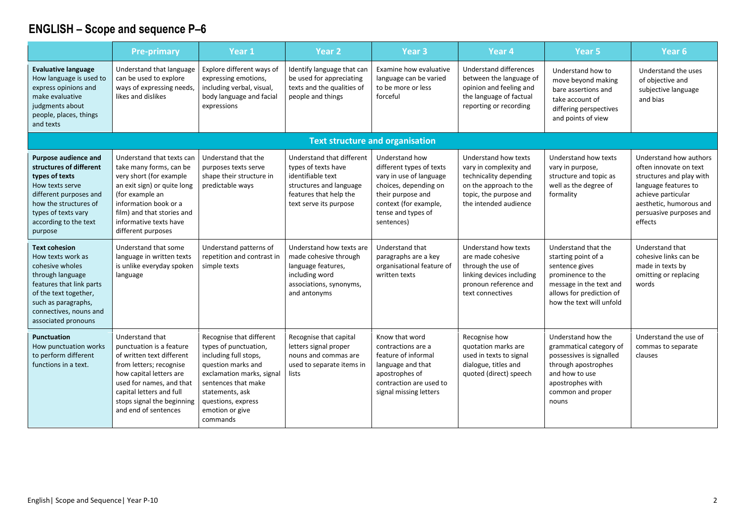|                                                                                                                                                                                                               | <b>Pre-primary</b>                                                                                                                                                                                                                           | Year 1                                                                                                                                                                                                                       | <b>Year 2</b>                                                                                                                                        | Year <sub>3</sub>                                                                                                                                                                | Year 4                                                                                                                                                | Year <sub>5</sub>                                                                                                                                                    | Year <sub>6</sub>                                                                                                                                                                           |
|---------------------------------------------------------------------------------------------------------------------------------------------------------------------------------------------------------------|----------------------------------------------------------------------------------------------------------------------------------------------------------------------------------------------------------------------------------------------|------------------------------------------------------------------------------------------------------------------------------------------------------------------------------------------------------------------------------|------------------------------------------------------------------------------------------------------------------------------------------------------|----------------------------------------------------------------------------------------------------------------------------------------------------------------------------------|-------------------------------------------------------------------------------------------------------------------------------------------------------|----------------------------------------------------------------------------------------------------------------------------------------------------------------------|---------------------------------------------------------------------------------------------------------------------------------------------------------------------------------------------|
| <b>Evaluative language</b><br>How language is used to<br>express opinions and<br>make evaluative<br>judgments about<br>people, places, things<br>and texts                                                    | Understand that language<br>can be used to explore<br>ways of expressing needs,<br>likes and dislikes                                                                                                                                        | Explore different ways of<br>expressing emotions,<br>including verbal, visual,<br>body language and facial<br>expressions                                                                                                    | Identify language that can<br>be used for appreciating<br>texts and the qualities of<br>people and things                                            | Examine how evaluative<br>language can be varied<br>to be more or less<br>forceful                                                                                               | Understand differences<br>between the language of<br>opinion and feeling and<br>the language of factual<br>reporting or recording                     | Understand how to<br>move beyond making<br>bare assertions and<br>take account of<br>differing perspectives<br>and points of view                                    | Understand the uses<br>of objective and<br>subjective language<br>and bias                                                                                                                  |
|                                                                                                                                                                                                               |                                                                                                                                                                                                                                              |                                                                                                                                                                                                                              |                                                                                                                                                      | <b>Text structure and organisation</b>                                                                                                                                           |                                                                                                                                                       |                                                                                                                                                                      |                                                                                                                                                                                             |
| Purpose audience and<br>structures of different<br>types of texts<br>How texts serve<br>different purposes and<br>how the structures of<br>types of texts vary<br>according to the text<br>purpose            | Understand that texts can<br>take many forms, can be<br>very short (for example<br>an exit sign) or quite long<br>(for example an<br>information book or a<br>film) and that stories and<br>informative texts have<br>different purposes     | Understand that the<br>purposes texts serve<br>shape their structure in<br>predictable ways                                                                                                                                  | Understand that different<br>types of texts have<br>identifiable text<br>structures and language<br>features that help the<br>text serve its purpose | Understand how<br>different types of texts<br>vary in use of language<br>choices, depending on<br>their purpose and<br>context (for example,<br>tense and types of<br>sentences) | Understand how texts<br>vary in complexity and<br>technicality depending<br>on the approach to the<br>topic, the purpose and<br>the intended audience | Understand how texts<br>vary in purpose,<br>structure and topic as<br>well as the degree of<br>formality                                                             | Understand how authors<br>often innovate on text<br>structures and play with<br>language features to<br>achieve particular<br>aesthetic, humorous and<br>persuasive purposes and<br>effects |
| <b>Text cohesion</b><br>How texts work as<br>cohesive wholes<br>through language<br>features that link parts<br>of the text together,<br>such as paragraphs,<br>connectives, nouns and<br>associated pronouns | Understand that some<br>language in written texts<br>is unlike everyday spoken<br>language                                                                                                                                                   | Understand patterns of<br>repetition and contrast in<br>simple texts                                                                                                                                                         | Understand how texts are<br>made cohesive through<br>language features,<br>including word<br>associations, synonyms,<br>and antonyms                 | Understand that<br>paragraphs are a key<br>organisational feature of<br>written texts                                                                                            | Understand how texts<br>are made cohesive<br>through the use of<br>linking devices including<br>pronoun reference and<br>text connectives             | Understand that the<br>starting point of a<br>sentence gives<br>prominence to the<br>message in the text and<br>allows for prediction of<br>how the text will unfold | Understand that<br>cohesive links can be<br>made in texts by<br>omitting or replacing<br>words                                                                                              |
| Punctuation<br>How punctuation works<br>to perform different<br>functions in a text.                                                                                                                          | Understand that<br>punctuation is a feature<br>of written text different<br>from letters; recognise<br>how capital letters are<br>used for names, and that<br>capital letters and full<br>stops signal the beginning<br>and end of sentences | Recognise that different<br>types of punctuation,<br>including full stops,<br>question marks and<br>exclamation marks, signal<br>sentences that make<br>statements, ask<br>questions, express<br>emotion or give<br>commands | Recognise that capital<br>letters signal proper<br>nouns and commas are<br>used to separate items in<br>lists                                        | Know that word<br>contractions are a<br>feature of informal<br>language and that<br>apostrophes of<br>contraction are used to<br>signal missing letters                          | Recognise how<br>quotation marks are<br>used in texts to signal<br>dialogue, titles and<br>quoted (direct) speech                                     | Understand how the<br>grammatical category of<br>possessives is signalled<br>through apostrophes<br>and how to use<br>apostrophes with<br>common and proper<br>nouns | Understand the use of<br>commas to separate<br>clauses                                                                                                                                      |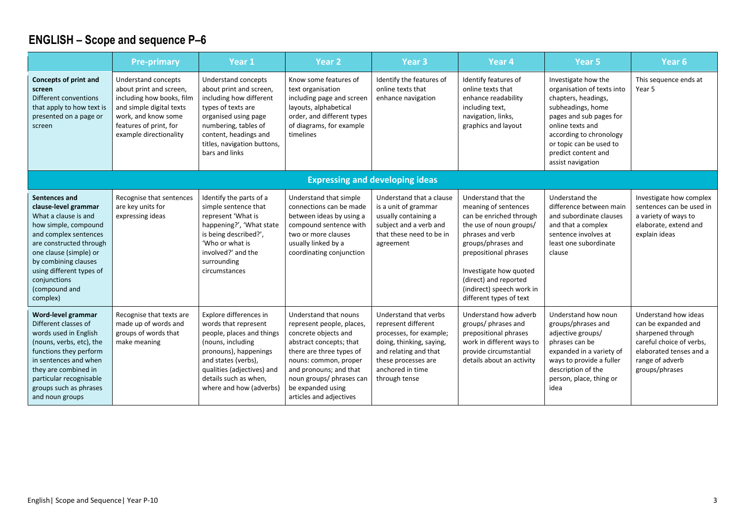|                                                                                                                                                                                                                                                                      | <b>Pre-primary</b>                                                                                                                                                                 | Year 1                                                                                                                                                                                                                             | <b>Year 2</b>                                                                                                                                                                                                                                                    | Year <sub>3</sub>                                                                                                                                                                        | Year <sub>4</sub>                                                                                                                                                                                                                                                               | Year <sub>5</sub>                                                                                                                                                                                                                              | Year <sub>6</sub>                                                                                                                                            |
|----------------------------------------------------------------------------------------------------------------------------------------------------------------------------------------------------------------------------------------------------------------------|------------------------------------------------------------------------------------------------------------------------------------------------------------------------------------|------------------------------------------------------------------------------------------------------------------------------------------------------------------------------------------------------------------------------------|------------------------------------------------------------------------------------------------------------------------------------------------------------------------------------------------------------------------------------------------------------------|------------------------------------------------------------------------------------------------------------------------------------------------------------------------------------------|---------------------------------------------------------------------------------------------------------------------------------------------------------------------------------------------------------------------------------------------------------------------------------|------------------------------------------------------------------------------------------------------------------------------------------------------------------------------------------------------------------------------------------------|--------------------------------------------------------------------------------------------------------------------------------------------------------------|
| <b>Concepts of print and</b><br>screen<br>Different conventions<br>that apply to how text is<br>presented on a page or<br>screen                                                                                                                                     | Understand concepts<br>about print and screen,<br>including how books, film<br>and simple digital texts<br>work, and know some<br>features of print, for<br>example directionality | Understand concepts<br>about print and screen,<br>including how different<br>types of texts are<br>organised using page<br>numbering, tables of<br>content, headings and<br>titles, navigation buttons,<br>bars and links          | Know some features of<br>text organisation<br>including page and screen<br>layouts, alphabetical<br>order, and different types<br>of diagrams, for example<br>timelines                                                                                          | Identify the features of<br>online texts that<br>enhance navigation                                                                                                                      | Identify features of<br>online texts that<br>enhance readability<br>including text,<br>navigation, links,<br>graphics and layout                                                                                                                                                | Investigate how the<br>organisation of texts into<br>chapters, headings,<br>subheadings, home<br>pages and sub pages for<br>online texts and<br>according to chronology<br>or topic can be used to<br>predict content and<br>assist navigation | This sequence ends at<br>Year 5                                                                                                                              |
|                                                                                                                                                                                                                                                                      |                                                                                                                                                                                    |                                                                                                                                                                                                                                    |                                                                                                                                                                                                                                                                  | <b>Expressing and developing ideas</b>                                                                                                                                                   |                                                                                                                                                                                                                                                                                 |                                                                                                                                                                                                                                                |                                                                                                                                                              |
| Sentences and<br>clause-level grammar<br>What a clause is and<br>how simple, compound<br>and complex sentences<br>are constructed through<br>one clause (simple) or<br>by combining clauses<br>using different types of<br>conjunctions<br>(compound and<br>complex) | Recognise that sentences<br>are key units for<br>expressing ideas                                                                                                                  | Identify the parts of a<br>simple sentence that<br>represent 'What is<br>happening?', 'What state<br>is being described?',<br>'Who or what is<br>involved?' and the<br>surrounding<br>circumstances                                | Understand that simple<br>connections can be made<br>between ideas by using a<br>compound sentence with<br>two or more clauses<br>usually linked by a<br>coordinating conjunction                                                                                | Understand that a clause<br>is a unit of grammar<br>usually containing a<br>subject and a verb and<br>that these need to be in<br>agreement                                              | Understand that the<br>meaning of sentences<br>can be enriched through<br>the use of noun groups/<br>phrases and verb<br>groups/phrases and<br>prepositional phrases<br>Investigate how quoted<br>(direct) and reported<br>(indirect) speech work in<br>different types of text | Understand the<br>difference between main<br>and subordinate clauses<br>and that a complex<br>sentence involves at<br>least one subordinate<br>clause                                                                                          | Investigate how complex<br>sentences can be used in<br>a variety of ways to<br>elaborate, extend and<br>explain ideas                                        |
| Word-level grammar<br>Different classes of<br>words used in English<br>(nouns, verbs, etc), the<br>functions they perform<br>in sentences and when<br>they are combined in<br>particular recognisable<br>groups such as phrases<br>and noun groups                   | Recognise that texts are<br>made up of words and<br>groups of words that<br>make meaning                                                                                           | Explore differences in<br>words that represent<br>people, places and things<br>(nouns, including<br>pronouns), happenings<br>and states (verbs),<br>qualities (adjectives) and<br>details such as when,<br>where and how (adverbs) | Understand that nouns<br>represent people, places,<br>concrete objects and<br>abstract concepts; that<br>there are three types of<br>nouns: common, proper<br>and pronouns; and that<br>noun groups/ phrases can<br>be expanded using<br>articles and adjectives | Understand that verbs<br>represent different<br>processes, for example;<br>doing, thinking, saying,<br>and relating and that<br>these processes are<br>anchored in time<br>through tense | Understand how adverb<br>groups/ phrases and<br>prepositional phrases<br>work in different ways to<br>provide circumstantial<br>details about an activity                                                                                                                       | Understand how noun<br>groups/phrases and<br>adjective groups/<br>phrases can be<br>expanded in a variety of<br>ways to provide a fuller<br>description of the<br>person, place, thing or<br>idea                                              | Understand how ideas<br>can be expanded and<br>sharpened through<br>careful choice of verbs.<br>elaborated tenses and a<br>range of adverb<br>groups/phrases |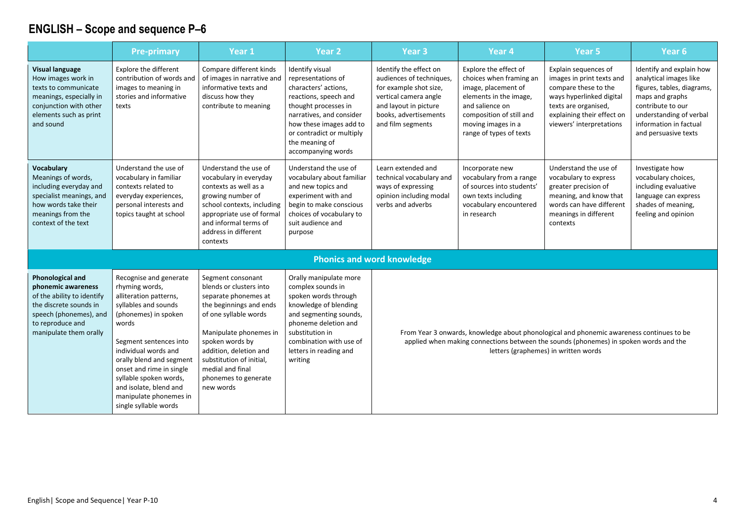|                                                                                                                                                                               | <b>Pre-primary</b>                                                                                                                                                                                                                                                                                                                           | Year 1                                                                                                                                                                                                                                                                               | Year <sub>2</sub>                                                                                                                                                                                                                          | Year <sub>3</sub>                                                                                                                                                            | Year <sub>4</sub>                                                                                                                                                                                 | Year <sub>5</sub>                                                                                                                                                                                                         | Year <sub>6</sub>                                                                                                                                                                                     |
|-------------------------------------------------------------------------------------------------------------------------------------------------------------------------------|----------------------------------------------------------------------------------------------------------------------------------------------------------------------------------------------------------------------------------------------------------------------------------------------------------------------------------------------|--------------------------------------------------------------------------------------------------------------------------------------------------------------------------------------------------------------------------------------------------------------------------------------|--------------------------------------------------------------------------------------------------------------------------------------------------------------------------------------------------------------------------------------------|------------------------------------------------------------------------------------------------------------------------------------------------------------------------------|---------------------------------------------------------------------------------------------------------------------------------------------------------------------------------------------------|---------------------------------------------------------------------------------------------------------------------------------------------------------------------------------------------------------------------------|-------------------------------------------------------------------------------------------------------------------------------------------------------------------------------------------------------|
| <b>Visual language</b><br>How images work in<br>texts to communicate<br>meanings, especially in<br>conjunction with other<br>elements such as print<br>and sound              | Explore the different<br>contribution of words and<br>images to meaning in<br>stories and informative<br>texts                                                                                                                                                                                                                               | Compare different kinds<br>of images in narrative and<br>informative texts and<br>discuss how they<br>contribute to meaning                                                                                                                                                          | Identify visual<br>representations of<br>characters' actions,<br>reactions, speech and<br>thought processes in<br>narratives, and consider<br>how these images add to<br>or contradict or multiply<br>the meaning of<br>accompanying words | Identify the effect on<br>audiences of techniques,<br>for example shot size,<br>vertical camera angle<br>and layout in picture<br>books, advertisements<br>and film segments | Explore the effect of<br>choices when framing an<br>image, placement of<br>elements in the image,<br>and salience on<br>composition of still and<br>moving images in a<br>range of types of texts | Explain sequences of<br>images in print texts and<br>compare these to the<br>ways hyperlinked digital<br>texts are organised,<br>explaining their effect on<br>viewers' interpretations                                   | Identify and explain how<br>analytical images like<br>figures, tables, diagrams,<br>maps and graphs<br>contribute to our<br>understanding of verbal<br>information in factual<br>and persuasive texts |
| Vocabulary<br>Meanings of words,<br>including everyday and<br>specialist meanings, and<br>how words take their<br>meanings from the<br>context of the text                    | Understand the use of<br>vocabulary in familiar<br>contexts related to<br>everyday experiences,<br>personal interests and<br>topics taught at school                                                                                                                                                                                         | Understand the use of<br>vocabulary in everyday<br>contexts as well as a<br>growing number of<br>school contexts, including<br>appropriate use of formal<br>and informal terms of<br>address in different<br>contexts                                                                | Understand the use of<br>vocabulary about familiar<br>and new topics and<br>experiment with and<br>begin to make conscious<br>choices of vocabulary to<br>suit audience and<br>purpose                                                     | Learn extended and<br>technical vocabulary and<br>ways of expressing<br>opinion including modal<br>verbs and adverbs                                                         | Incorporate new<br>vocabulary from a range<br>of sources into students'<br>own texts including<br>vocabulary encountered<br>in research                                                           | Understand the use of<br>vocabulary to express<br>greater precision of<br>meaning, and know that<br>words can have different<br>meanings in different<br>contexts                                                         | Investigate how<br>vocabulary choices,<br>including evaluative<br>language can express<br>shades of meaning,<br>feeling and opinion                                                                   |
|                                                                                                                                                                               |                                                                                                                                                                                                                                                                                                                                              |                                                                                                                                                                                                                                                                                      |                                                                                                                                                                                                                                            | <b>Phonics and word knowledge</b>                                                                                                                                            |                                                                                                                                                                                                   |                                                                                                                                                                                                                           |                                                                                                                                                                                                       |
| <b>Phonological and</b><br>phonemic awareness<br>of the ability to identify<br>the discrete sounds in<br>speech (phonemes), and<br>to reproduce and<br>manipulate them orally | Recognise and generate<br>rhyming words,<br>alliteration patterns,<br>syllables and sounds<br>(phonemes) in spoken<br>words<br>Segment sentences into<br>individual words and<br>orally blend and segment<br>onset and rime in single<br>syllable spoken words,<br>and isolate, blend and<br>manipulate phonemes in<br>single syllable words | Segment consonant<br>blends or clusters into<br>separate phonemes at<br>the beginnings and ends<br>of one syllable words<br>Manipulate phonemes in<br>spoken words by<br>addition, deletion and<br>substitution of initial,<br>medial and final<br>phonemes to generate<br>new words | Orally manipulate more<br>complex sounds in<br>spoken words through<br>knowledge of blending<br>and segmenting sounds,<br>phoneme deletion and<br>substitution in<br>combination with use of<br>letters in reading and<br>writing          |                                                                                                                                                                              |                                                                                                                                                                                                   | From Year 3 onwards, knowledge about phonological and phonemic awareness continues to be<br>applied when making connections between the sounds (phonemes) in spoken words and the<br>letters (graphemes) in written words |                                                                                                                                                                                                       |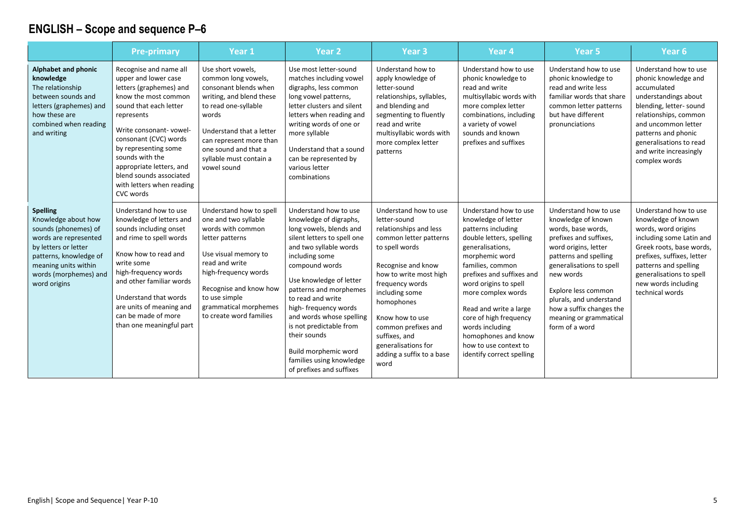|                                                                                                                                                                                                            | <b>Pre-primary</b>                                                                                                                                                                                                                                                                                                                       | Year 1                                                                                                                                                                                                                                                   | <b>Year 2</b>                                                                                                                                                                                                                                                                                                                                                                                                                    | Year <sub>3</sub>                                                                                                                                                                                                                                                                                                                     | Year <sub>4</sub>                                                                                                                                                                                                                                                                                                                                                                        | Year 5                                                                                                                                                                                                                                                                                                          | Year 6                                                                                                                                                                                                                                                      |
|------------------------------------------------------------------------------------------------------------------------------------------------------------------------------------------------------------|------------------------------------------------------------------------------------------------------------------------------------------------------------------------------------------------------------------------------------------------------------------------------------------------------------------------------------------|----------------------------------------------------------------------------------------------------------------------------------------------------------------------------------------------------------------------------------------------------------|----------------------------------------------------------------------------------------------------------------------------------------------------------------------------------------------------------------------------------------------------------------------------------------------------------------------------------------------------------------------------------------------------------------------------------|---------------------------------------------------------------------------------------------------------------------------------------------------------------------------------------------------------------------------------------------------------------------------------------------------------------------------------------|------------------------------------------------------------------------------------------------------------------------------------------------------------------------------------------------------------------------------------------------------------------------------------------------------------------------------------------------------------------------------------------|-----------------------------------------------------------------------------------------------------------------------------------------------------------------------------------------------------------------------------------------------------------------------------------------------------------------|-------------------------------------------------------------------------------------------------------------------------------------------------------------------------------------------------------------------------------------------------------------|
| Alphabet and phonic<br>knowledge<br>The relationship<br>between sounds and<br>letters (graphemes) and<br>how these are<br>combined when reading<br>and writing                                             | Recognise and name all<br>upper and lower case<br>letters (graphemes) and<br>know the most common<br>sound that each letter<br>represents<br>Write consonant-vowel-<br>consonant (CVC) words<br>by representing some<br>sounds with the<br>appropriate letters, and<br>blend sounds associated<br>with letters when reading<br>CVC words | Use short vowels,<br>common long vowels,<br>consonant blends when<br>writing, and blend these<br>to read one-syllable<br>words<br>Understand that a letter<br>can represent more than<br>one sound and that a<br>syllable must contain a<br>vowel sound  | Use most letter-sound<br>matches including vowel<br>digraphs, less common<br>long vowel patterns,<br>letter clusters and silent<br>letters when reading and<br>writing words of one or<br>more syllable<br>Understand that a sound<br>can be represented by<br>various letter<br>combinations                                                                                                                                    | Understand how to<br>apply knowledge of<br>letter-sound<br>relationships, syllables,<br>and blending and<br>segmenting to fluently<br>read and write<br>multisyllabic words with<br>more complex letter<br>patterns                                                                                                                   | Understand how to use<br>phonic knowledge to<br>read and write<br>multisyllabic words with<br>more complex letter<br>combinations, including<br>a variety of vowel<br>sounds and known<br>prefixes and suffixes                                                                                                                                                                          | Understand how to use<br>phonic knowledge to<br>read and write less<br>familiar words that share<br>common letter patterns<br>but have different<br>pronunciations                                                                                                                                              | Understand how to use<br>phonic knowledge and<br>accumulated<br>understandings about<br>blending, letter-sound<br>relationships, common<br>and uncommon letter<br>patterns and phonic<br>generalisations to read<br>and write increasingly<br>complex words |
| <b>Spelling</b><br>Knowledge about how<br>sounds (phonemes) of<br>words are represented<br>by letters or letter<br>patterns, knowledge of<br>meaning units within<br>words (morphemes) and<br>word origins | Understand how to use<br>knowledge of letters and<br>sounds including onset<br>and rime to spell words<br>Know how to read and<br>write some<br>high-frequency words<br>and other familiar words<br>Understand that words<br>are units of meaning and<br>can be made of more<br>than one meaningful part                                 | Understand how to spell<br>one and two syllable<br>words with common<br>letter patterns<br>Use visual memory to<br>read and write<br>high-frequency words<br>Recognise and know how<br>to use simple<br>grammatical morphemes<br>to create word families | Understand how to use<br>knowledge of digraphs,<br>long vowels, blends and<br>silent letters to spell one<br>and two syllable words<br>including some<br>compound words<br>Use knowledge of letter<br>patterns and morphemes<br>to read and write<br>high-frequency words<br>and words whose spelling<br>is not predictable from<br>their sounds<br>Build morphemic word<br>families using knowledge<br>of prefixes and suffixes | Understand how to use<br>letter-sound<br>relationships and less<br>common letter patterns<br>to spell words<br>Recognise and know<br>how to write most high<br>frequency words<br>including some<br>homophones<br>Know how to use<br>common prefixes and<br>suffixes, and<br>generalisations for<br>adding a suffix to a base<br>word | Understand how to use<br>knowledge of letter<br>patterns including<br>double letters, spelling<br>generalisations,<br>morphemic word<br>families, common<br>prefixes and suffixes and<br>word origins to spell<br>more complex words<br>Read and write a large<br>core of high frequency<br>words including<br>homophones and know<br>how to use context to<br>identify correct spelling | Understand how to use<br>knowledge of known<br>words, base words,<br>prefixes and suffixes,<br>word origins, letter<br>patterns and spelling<br>generalisations to spell<br>new words<br>Explore less common<br>plurals, and understand<br>how a suffix changes the<br>meaning or grammatical<br>form of a word | Understand how to use<br>knowledge of known<br>words, word origins<br>including some Latin and<br>Greek roots, base words,<br>prefixes, suffixes, letter<br>patterns and spelling<br>generalisations to spell<br>new words including<br>technical words     |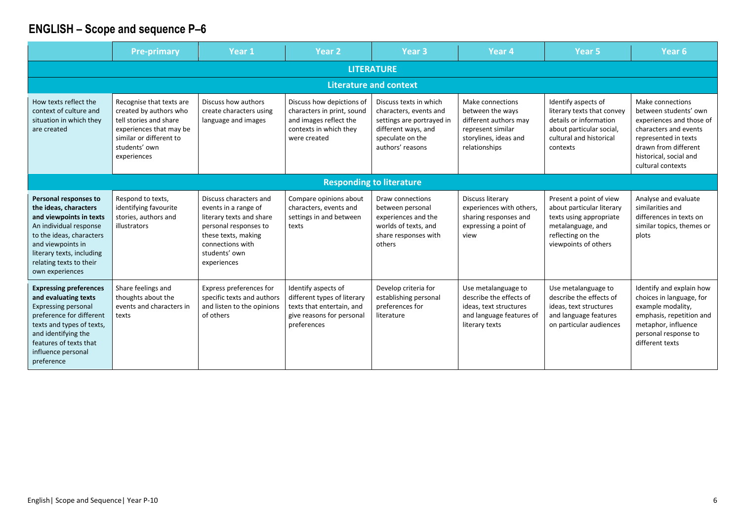|                                                                                                                                                                                                                                   | <b>Pre-primary</b>                                                                                                                                                 | Year 1                                                                                                                                                                         | Year <sub>2</sub>                                                                                                           | Year <sub>3</sub>                                                                                                                            | Year 4                                                                                                                       | Year <sub>5</sub>                                                                                                                                 | Year <sub>6</sub>                                                                                                                                                                             |  |  |  |  |
|-----------------------------------------------------------------------------------------------------------------------------------------------------------------------------------------------------------------------------------|--------------------------------------------------------------------------------------------------------------------------------------------------------------------|--------------------------------------------------------------------------------------------------------------------------------------------------------------------------------|-----------------------------------------------------------------------------------------------------------------------------|----------------------------------------------------------------------------------------------------------------------------------------------|------------------------------------------------------------------------------------------------------------------------------|---------------------------------------------------------------------------------------------------------------------------------------------------|-----------------------------------------------------------------------------------------------------------------------------------------------------------------------------------------------|--|--|--|--|
| <b>LITERATURE</b>                                                                                                                                                                                                                 |                                                                                                                                                                    |                                                                                                                                                                                |                                                                                                                             |                                                                                                                                              |                                                                                                                              |                                                                                                                                                   |                                                                                                                                                                                               |  |  |  |  |
|                                                                                                                                                                                                                                   |                                                                                                                                                                    |                                                                                                                                                                                |                                                                                                                             | <b>Literature and context</b>                                                                                                                |                                                                                                                              |                                                                                                                                                   |                                                                                                                                                                                               |  |  |  |  |
| How texts reflect the<br>context of culture and<br>situation in which they<br>are created                                                                                                                                         | Recognise that texts are<br>created by authors who<br>tell stories and share<br>experiences that may be<br>similar or different to<br>students' own<br>experiences | Discuss how authors<br>create characters using<br>language and images                                                                                                          | Discuss how depictions of<br>characters in print, sound<br>and images reflect the<br>contexts in which they<br>were created | Discuss texts in which<br>characters, events and<br>settings are portrayed in<br>different ways, and<br>speculate on the<br>authors' reasons | Make connections<br>between the ways<br>different authors may<br>represent similar<br>storylines, ideas and<br>relationships | Identify aspects of<br>literary texts that convey<br>details or information<br>about particular social,<br>cultural and historical<br>contexts    | Make connections<br>between students' own<br>experiences and those of<br>characters and events<br>represented in texts<br>drawn from different<br>historical, social and<br>cultural contexts |  |  |  |  |
|                                                                                                                                                                                                                                   |                                                                                                                                                                    |                                                                                                                                                                                |                                                                                                                             | <b>Responding to literature</b>                                                                                                              |                                                                                                                              |                                                                                                                                                   |                                                                                                                                                                                               |  |  |  |  |
| Personal responses to<br>the ideas, characters<br>and viewpoints in texts<br>An individual response<br>to the ideas, characters<br>and viewpoints in<br>literary texts, including<br>relating texts to their<br>own experiences   | Respond to texts,<br>identifying favourite<br>stories, authors and<br>illustrators                                                                                 | Discuss characters and<br>events in a range of<br>literary texts and share<br>personal responses to<br>these texts, making<br>connections with<br>students' own<br>experiences | Compare opinions about<br>characters, events and<br>settings in and between<br>texts                                        | Draw connections<br>between personal<br>experiences and the<br>worlds of texts, and<br>share responses with<br>others                        | Discuss literary<br>experiences with others,<br>sharing responses and<br>expressing a point of<br>view                       | Present a point of view<br>about particular literary<br>texts using appropriate<br>metalanguage, and<br>reflecting on the<br>viewpoints of others | Analyse and evaluate<br>similarities and<br>differences in texts on<br>similar topics, themes or<br>plots                                                                                     |  |  |  |  |
| <b>Expressing preferences</b><br>and evaluating texts<br><b>Expressing personal</b><br>preference for different<br>texts and types of texts,<br>and identifying the<br>features of texts that<br>influence personal<br>preference | Share feelings and<br>thoughts about the<br>events and characters in<br>texts                                                                                      | Express preferences for<br>specific texts and authors<br>and listen to the opinions<br>of others                                                                               | Identify aspects of<br>different types of literary<br>texts that entertain, and<br>give reasons for personal<br>preferences | Develop criteria for<br>establishing personal<br>preferences for<br>literature                                                               | Use metalanguage to<br>describe the effects of<br>ideas, text structures<br>and language features of<br>literary texts       | Use metalanguage to<br>describe the effects of<br>ideas, text structures<br>and language features<br>on particular audiences                      | Identify and explain how<br>choices in language, for<br>example modality,<br>emphasis, repetition and<br>metaphor, influence<br>personal response to<br>different texts                       |  |  |  |  |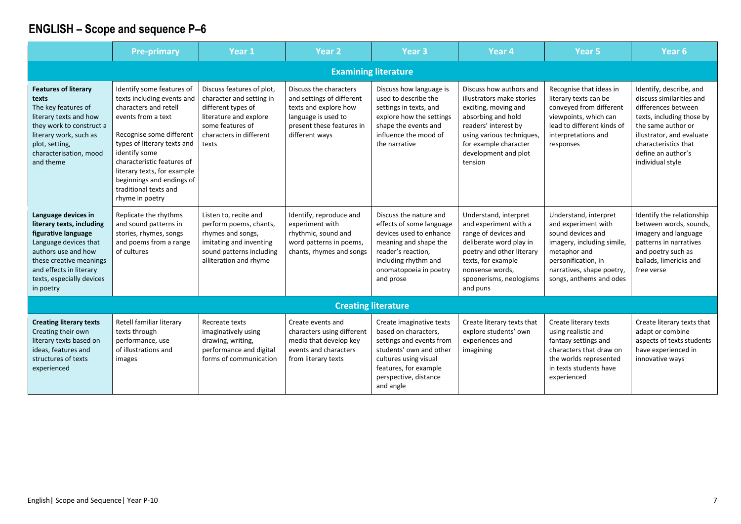|                                                                                                                                                                                                                         | <b>Pre-primary</b>                                                                                                                                                                                                                                                                                                       | Year 1                                                                                                                                                        | <b>Year 2</b>                                                                                                                                      | Year <sub>3</sub>                                                                                                                                                                               | Year <sub>4</sub>                                                                                                                                                                                                   | Year 5                                                                                                                                                                                         | Year <sub>6</sub>                                                                                                                                                                                                            |  |  |  |  |
|-------------------------------------------------------------------------------------------------------------------------------------------------------------------------------------------------------------------------|--------------------------------------------------------------------------------------------------------------------------------------------------------------------------------------------------------------------------------------------------------------------------------------------------------------------------|---------------------------------------------------------------------------------------------------------------------------------------------------------------|----------------------------------------------------------------------------------------------------------------------------------------------------|-------------------------------------------------------------------------------------------------------------------------------------------------------------------------------------------------|---------------------------------------------------------------------------------------------------------------------------------------------------------------------------------------------------------------------|------------------------------------------------------------------------------------------------------------------------------------------------------------------------------------------------|------------------------------------------------------------------------------------------------------------------------------------------------------------------------------------------------------------------------------|--|--|--|--|
| <b>Examining literature</b>                                                                                                                                                                                             |                                                                                                                                                                                                                                                                                                                          |                                                                                                                                                               |                                                                                                                                                    |                                                                                                                                                                                                 |                                                                                                                                                                                                                     |                                                                                                                                                                                                |                                                                                                                                                                                                                              |  |  |  |  |
| <b>Features of literary</b><br>texts<br>The key features of<br>literary texts and how<br>they work to construct a<br>literary work, such as<br>plot, setting,<br>characterisation, mood<br>and theme                    | Identify some features of<br>texts including events and<br>characters and retell<br>events from a text<br>Recognise some different<br>types of literary texts and<br>identify some<br>characteristic features of<br>literary texts, for example<br>beginnings and endings of<br>traditional texts and<br>rhyme in poetry | Discuss features of plot,<br>character and setting in<br>different types of<br>literature and explore<br>some features of<br>characters in different<br>texts | Discuss the characters<br>and settings of different<br>texts and explore how<br>language is used to<br>present these features in<br>different ways | Discuss how language is<br>used to describe the<br>settings in texts, and<br>explore how the settings<br>shape the events and<br>influence the mood of<br>the narrative                         | Discuss how authors and<br>illustrators make stories<br>exciting, moving and<br>absorbing and hold<br>readers' interest by<br>using various techniques,<br>for example character<br>development and plot<br>tension | Recognise that ideas in<br>literary texts can be<br>conveyed from different<br>viewpoints, which can<br>lead to different kinds of<br>interpretations and<br>responses                         | Identify, describe, and<br>discuss similarities and<br>differences between<br>texts, including those by<br>the same author or<br>illustrator, and evaluate<br>characteristics that<br>define an author's<br>individual style |  |  |  |  |
| Language devices in<br>literary texts, including<br>figurative language<br>Language devices that<br>authors use and how<br>these creative meanings<br>and effects in literary<br>texts, especially devices<br>in poetry | Replicate the rhythms<br>and sound patterns in<br>stories, rhymes, songs<br>and poems from a range<br>of cultures                                                                                                                                                                                                        | Listen to, recite and<br>perform poems, chants,<br>rhymes and songs,<br>imitating and inventing<br>sound patterns including<br>alliteration and rhyme         | Identify, reproduce and<br>experiment with<br>rhythmic, sound and<br>word patterns in poems,<br>chants, rhymes and songs                           | Discuss the nature and<br>effects of some language<br>devices used to enhance<br>meaning and shape the<br>reader's reaction,<br>including rhythm and<br>onomatopoeia in poetry<br>and prose     | Understand, interpret<br>and experiment with a<br>range of devices and<br>deliberate word play in<br>poetry and other literary<br>texts, for example<br>nonsense words,<br>spoonerisms, neologisms<br>and puns      | Understand, interpret<br>and experiment with<br>sound devices and<br>imagery, including simile,<br>metaphor and<br>personification, in<br>narratives, shape poetry,<br>songs, anthems and odes | Identify the relationship<br>between words, sounds,<br>imagery and language<br>patterns in narratives<br>and poetry such as<br>ballads, limericks and<br>free verse                                                          |  |  |  |  |
|                                                                                                                                                                                                                         |                                                                                                                                                                                                                                                                                                                          |                                                                                                                                                               |                                                                                                                                                    | <b>Creating literature</b>                                                                                                                                                                      |                                                                                                                                                                                                                     |                                                                                                                                                                                                |                                                                                                                                                                                                                              |  |  |  |  |
| <b>Creating literary texts</b><br>Creating their own<br>literary texts based on<br>ideas, features and<br>structures of texts<br>experienced                                                                            | Retell familiar literary<br>texts through<br>performance, use<br>of illustrations and<br>images                                                                                                                                                                                                                          | Recreate texts<br>imaginatively using<br>drawing, writing,<br>performance and digital<br>forms of communication                                               | Create events and<br>characters using different<br>media that develop key<br>events and characters<br>from literary texts                          | Create imaginative texts<br>based on characters,<br>settings and events from<br>students' own and other<br>cultures using visual<br>features, for example<br>perspective, distance<br>and angle | Create literary texts that<br>explore students' own<br>experiences and<br>imagining                                                                                                                                 | Create literary texts<br>using realistic and<br>fantasy settings and<br>characters that draw on<br>the worlds represented<br>in texts students have<br>experienced                             | Create literary texts that<br>adapt or combine<br>aspects of texts students<br>have experienced in<br>innovative ways                                                                                                        |  |  |  |  |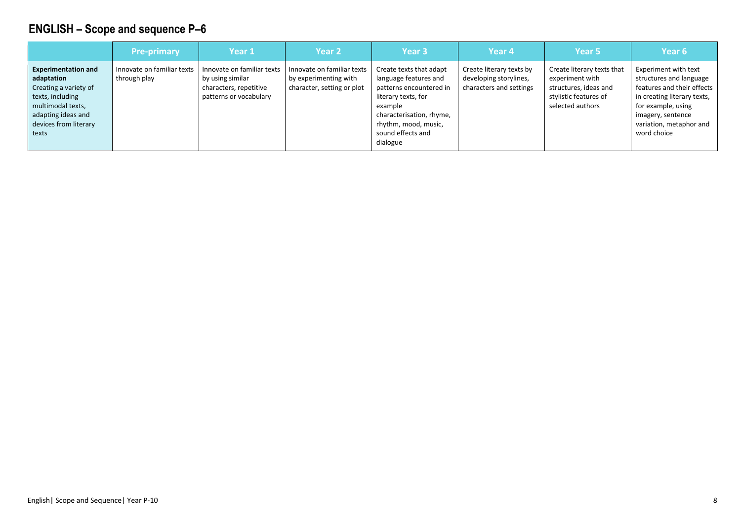|                                                                                                                                                                    | <b>Pre-primary</b>                         | Year 1                                                                                             | Year <sub>2</sub>                                                                 | Year <sub>3</sub>                                                                                                                                                                                  | Year <sub>4</sub>                                                             | Year <sub>5</sub>                                                                                                   | Year 6                                                                                                                                                                                            |
|--------------------------------------------------------------------------------------------------------------------------------------------------------------------|--------------------------------------------|----------------------------------------------------------------------------------------------------|-----------------------------------------------------------------------------------|----------------------------------------------------------------------------------------------------------------------------------------------------------------------------------------------------|-------------------------------------------------------------------------------|---------------------------------------------------------------------------------------------------------------------|---------------------------------------------------------------------------------------------------------------------------------------------------------------------------------------------------|
| <b>Experimentation and</b><br>adaptation<br>Creating a variety of<br>texts, including<br>multimodal texts,<br>adapting ideas and<br>devices from literary<br>texts | Innovate on familiar texts<br>through play | Innovate on familiar texts<br>by using similar<br>characters, repetitive<br>patterns or vocabulary | Innovate on familiar texts<br>by experimenting with<br>character, setting or plot | Create texts that adapt<br>language features and<br>patterns encountered in<br>literary texts, for<br>example<br>characterisation, rhyme,<br>rhythm, mood, music,<br>sound effects and<br>dialogue | Create literary texts by<br>developing storylines,<br>characters and settings | Create literary texts that<br>experiment with<br>structures, ideas and<br>stylistic features of<br>selected authors | Experiment with text<br>structures and language<br>features and their effects<br>in creating literary texts,<br>for example, using<br>imagery, sentence<br>variation, metaphor and<br>word choice |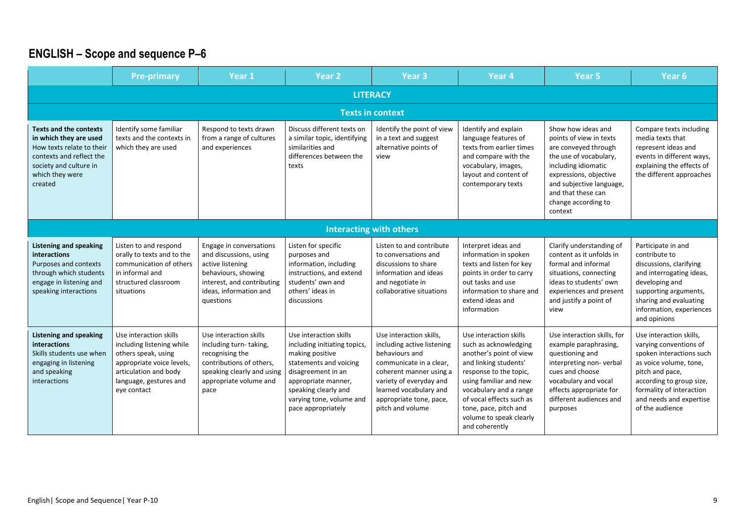|                                                                                                                                                                          | <b>Pre-primary</b>                                                                                                                                                        | Year 1                                                                                                                                                            | Year <sub>2</sub>                                                                                                                                                                                                          | Year <sub>3</sub>                                                                                                                                                                                                                 | Year <sub>4</sub>                                                                                                                                                                                                                                                                   | Year <sub>5</sub>                                                                                                                                                                                                                    | Year <sub>6</sub>                                                                                                                                                                                                                |  |  |  |  |
|--------------------------------------------------------------------------------------------------------------------------------------------------------------------------|---------------------------------------------------------------------------------------------------------------------------------------------------------------------------|-------------------------------------------------------------------------------------------------------------------------------------------------------------------|----------------------------------------------------------------------------------------------------------------------------------------------------------------------------------------------------------------------------|-----------------------------------------------------------------------------------------------------------------------------------------------------------------------------------------------------------------------------------|-------------------------------------------------------------------------------------------------------------------------------------------------------------------------------------------------------------------------------------------------------------------------------------|--------------------------------------------------------------------------------------------------------------------------------------------------------------------------------------------------------------------------------------|----------------------------------------------------------------------------------------------------------------------------------------------------------------------------------------------------------------------------------|--|--|--|--|
|                                                                                                                                                                          | <b>LITERACY</b>                                                                                                                                                           |                                                                                                                                                                   |                                                                                                                                                                                                                            |                                                                                                                                                                                                                                   |                                                                                                                                                                                                                                                                                     |                                                                                                                                                                                                                                      |                                                                                                                                                                                                                                  |  |  |  |  |
| <b>Texts in context</b>                                                                                                                                                  |                                                                                                                                                                           |                                                                                                                                                                   |                                                                                                                                                                                                                            |                                                                                                                                                                                                                                   |                                                                                                                                                                                                                                                                                     |                                                                                                                                                                                                                                      |                                                                                                                                                                                                                                  |  |  |  |  |
| <b>Texts and the contexts</b><br>in which they are used<br>How texts relate to their<br>contexts and reflect the<br>society and culture in<br>which they were<br>created | Identify some familiar<br>texts and the contexts in<br>which they are used                                                                                                | Respond to texts drawn<br>from a range of cultures<br>and experiences                                                                                             | Discuss different texts on<br>a similar topic, identifying<br>similarities and<br>differences between the<br>texts                                                                                                         | Identify the point of view<br>in a text and suggest<br>alternative points of<br>view                                                                                                                                              | Identify and explain<br>language features of<br>texts from earlier times<br>and compare with the<br>vocabulary, images,<br>layout and content of<br>contemporary texts                                                                                                              | Show how ideas and<br>points of view in texts<br>are conveyed through<br>the use of vocabulary,<br>including idiomatic<br>expressions, objective<br>and subjective language,<br>and that these can<br>change according to<br>context | Compare texts including<br>media texts that<br>represent ideas and<br>events in different ways,<br>explaining the effects of<br>the different approaches                                                                         |  |  |  |  |
|                                                                                                                                                                          |                                                                                                                                                                           |                                                                                                                                                                   |                                                                                                                                                                                                                            | <b>Interacting with others</b>                                                                                                                                                                                                    |                                                                                                                                                                                                                                                                                     |                                                                                                                                                                                                                                      |                                                                                                                                                                                                                                  |  |  |  |  |
| <b>Listening and speaking</b><br>interactions<br>Purposes and contexts<br>through which students<br>engage in listening and<br>speaking interactions                     | Listen to and respond<br>orally to texts and to the<br>communication of others<br>in informal and<br>structured classroom<br>situations                                   | Engage in conversations<br>and discussions, using<br>active listening<br>behaviours, showing<br>interest, and contributing<br>ideas, information and<br>questions | Listen for specific<br>purposes and<br>information, including<br>instructions, and extend<br>students' own and<br>others' ideas in<br>discussions                                                                          | Listen to and contribute<br>to conversations and<br>discussions to share<br>information and ideas<br>and negotiate in<br>collaborative situations                                                                                 | Interpret ideas and<br>information in spoken<br>texts and listen for key<br>points in order to carry<br>out tasks and use<br>information to share and<br>extend ideas and<br>information                                                                                            | Clarify understanding of<br>content as it unfolds in<br>formal and informal<br>situations, connecting<br>ideas to students' own<br>experiences and present<br>and justify a point of<br>view                                         | Participate in and<br>contribute to<br>discussions, clarifying<br>and interrogating ideas,<br>developing and<br>supporting arguments,<br>sharing and evaluating<br>information, experiences<br>and opinions                      |  |  |  |  |
| Listening and speaking<br><b>interactions</b><br>Skills students use when<br>engaging in listening<br>and speaking<br>interactions                                       | Use interaction skills<br>including listening while<br>others speak, using<br>appropriate voice levels,<br>articulation and body<br>language, gestures and<br>eye contact | Use interaction skills<br>including turn-taking,<br>recognising the<br>contributions of others,<br>speaking clearly and using<br>appropriate volume and<br>pace   | Use interaction skills<br>including initiating topics,<br>making positive<br>statements and voicing<br>disagreement in an<br>appropriate manner,<br>speaking clearly and<br>varying tone, volume and<br>pace appropriately | Use interaction skills.<br>including active listening<br>behaviours and<br>communicate in a clear,<br>coherent manner using a<br>variety of everyday and<br>learned vocabulary and<br>appropriate tone, pace,<br>pitch and volume | Use interaction skills<br>such as acknowledging<br>another's point of view<br>and linking students'<br>response to the topic,<br>using familiar and new<br>vocabulary and a range<br>of vocal effects such as<br>tone, pace, pitch and<br>volume to speak clearly<br>and coherently | Use interaction skills, for<br>example paraphrasing,<br>questioning and<br>interpreting non-verbal<br>cues and choose<br>vocabulary and vocal<br>effects appropriate for<br>different audiences and<br>purposes                      | Use interaction skills,<br>varying conventions of<br>spoken interactions such<br>as voice volume, tone,<br>pitch and pace,<br>according to group size,<br>formality of interaction<br>and needs and expertise<br>of the audience |  |  |  |  |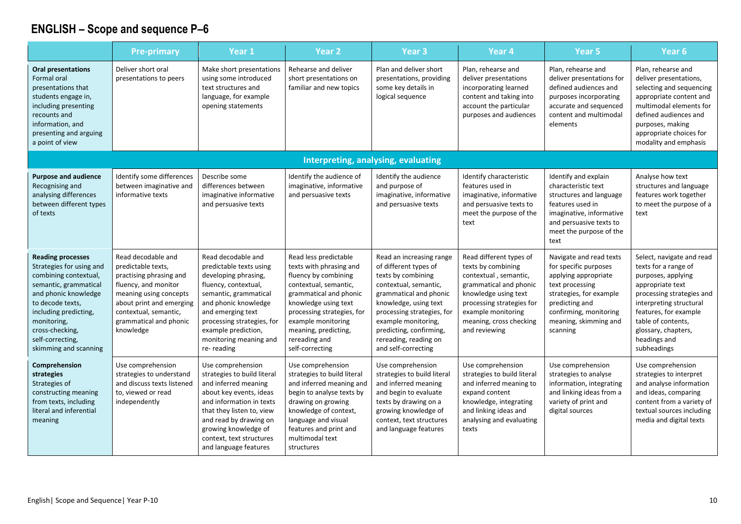|                                                                                                                                                                                                                                                            | <b>Pre-primary</b>                                                                                                                                                                                                | Year 1                                                                                                                                                                                                                                                              | Year <sub>2</sub>                                                                                                                                                                                                                                                   | Year <sub>3</sub>                                                                                                                                                                                                                                                                   | Year 4                                                                                                                                                                                                                  | Year <sub>5</sub>                                                                                                                                                                                       | Year 6                                                                                                                                                                                                                                                   |
|------------------------------------------------------------------------------------------------------------------------------------------------------------------------------------------------------------------------------------------------------------|-------------------------------------------------------------------------------------------------------------------------------------------------------------------------------------------------------------------|---------------------------------------------------------------------------------------------------------------------------------------------------------------------------------------------------------------------------------------------------------------------|---------------------------------------------------------------------------------------------------------------------------------------------------------------------------------------------------------------------------------------------------------------------|-------------------------------------------------------------------------------------------------------------------------------------------------------------------------------------------------------------------------------------------------------------------------------------|-------------------------------------------------------------------------------------------------------------------------------------------------------------------------------------------------------------------------|---------------------------------------------------------------------------------------------------------------------------------------------------------------------------------------------------------|----------------------------------------------------------------------------------------------------------------------------------------------------------------------------------------------------------------------------------------------------------|
| <b>Oral presentations</b><br><b>Formal oral</b><br>presentations that<br>students engage in,<br>including presenting<br>recounts and<br>information, and<br>presenting and arguing<br>a point of view                                                      | Deliver short oral<br>presentations to peers                                                                                                                                                                      | Make short presentations<br>using some introduced<br>text structures and<br>language, for example<br>opening statements                                                                                                                                             | Rehearse and deliver<br>short presentations on<br>familiar and new topics                                                                                                                                                                                           | Plan and deliver short<br>presentations, providing<br>some key details in<br>logical sequence                                                                                                                                                                                       | Plan, rehearse and<br>deliver presentations<br>incorporating learned<br>content and taking into<br>account the particular<br>purposes and audiences                                                                     | Plan, rehearse and<br>deliver presentations for<br>defined audiences and<br>purposes incorporating<br>accurate and sequenced<br>content and multimodal<br>elements                                      | Plan, rehearse and<br>deliver presentations,<br>selecting and sequencing<br>appropriate content and<br>multimodal elements for<br>defined audiences and<br>purposes, making<br>appropriate choices for<br>modality and emphasis                          |
|                                                                                                                                                                                                                                                            |                                                                                                                                                                                                                   |                                                                                                                                                                                                                                                                     |                                                                                                                                                                                                                                                                     | Interpreting, analysing, evaluating                                                                                                                                                                                                                                                 |                                                                                                                                                                                                                         |                                                                                                                                                                                                         |                                                                                                                                                                                                                                                          |
| <b>Purpose and audience</b><br>Recognising and<br>analysing differences<br>between different types<br>of texts                                                                                                                                             | Identify some differences<br>between imaginative and<br>informative texts                                                                                                                                         | Describe some<br>differences between<br>imaginative informative<br>and persuasive texts                                                                                                                                                                             | Identify the audience of<br>imaginative, informative<br>and persuasive texts                                                                                                                                                                                        | Identify the audience<br>and purpose of<br>imaginative, informative<br>and persuasive texts                                                                                                                                                                                         | Identify characteristic<br>features used in<br>imaginative, informative<br>and persuasive texts to<br>meet the purpose of the<br>text                                                                                   | Identify and explain<br>characteristic text<br>structures and language<br>features used in<br>imaginative, informative<br>and persuasive texts to<br>meet the purpose of the<br>text                    | Analyse how text<br>structures and language<br>features work together<br>to meet the purpose of a<br>text                                                                                                                                                |
| <b>Reading processes</b><br>Strategies for using and<br>combining contextual,<br>semantic, grammatical<br>and phonic knowledge<br>to decode texts,<br>including predicting,<br>monitoring,<br>cross-checking,<br>self-correcting,<br>skimming and scanning | Read decodable and<br>predictable texts,<br>practising phrasing and<br>fluency, and monitor<br>meaning using concepts<br>about print and emerging<br>contextual, semantic,<br>grammatical and phonic<br>knowledge | Read decodable and<br>predictable texts using<br>developing phrasing,<br>fluency, contextual,<br>semantic, grammatical<br>and phonic knowledge<br>and emerging text<br>processing strategies, for<br>example prediction,<br>monitoring meaning and<br>re-reading    | Read less predictable<br>texts with phrasing and<br>fluency by combining<br>contextual, semantic,<br>grammatical and phonic<br>knowledge using text<br>processing strategies, for<br>example monitoring<br>meaning, predicting,<br>rereading and<br>self-correcting | Read an increasing range<br>of different types of<br>texts by combining<br>contextual, semantic,<br>grammatical and phonic<br>knowledge, using text<br>processing strategies, for<br>example monitoring,<br>predicting, confirming,<br>rereading, reading on<br>and self-correcting | Read different types of<br>texts by combining<br>contextual, semantic,<br>grammatical and phonic<br>knowledge using text<br>processing strategies for<br>example monitoring<br>meaning, cross checking<br>and reviewing | Navigate and read texts<br>for specific purposes<br>applying appropriate<br>text processing<br>strategies, for example<br>predicting and<br>confirming, monitoring<br>meaning, skimming and<br>scanning | Select, navigate and read<br>texts for a range of<br>purposes, applying<br>appropriate text<br>processing strategies and<br>interpreting structural<br>features, for example<br>table of contents,<br>glossary, chapters,<br>headings and<br>subheadings |
| Comprehension<br>strategies<br>Strategies of<br>constructing meaning<br>from texts, including<br>literal and inferential<br>meaning                                                                                                                        | Use comprehension<br>strategies to understand<br>and discuss texts listened<br>to, viewed or read<br>independently                                                                                                | Use comprehension<br>strategies to build literal<br>and inferred meaning<br>about key events, ideas<br>and information in texts<br>that they listen to, view<br>and read by drawing on<br>growing knowledge of<br>context, text structures<br>and language features | Use comprehension<br>strategies to build literal<br>and inferred meaning and<br>begin to analyse texts by<br>drawing on growing<br>knowledge of context,<br>language and visual<br>features and print and<br>multimodal text<br>structures                          | Use comprehension<br>strategies to build literal<br>and inferred meaning<br>and begin to evaluate<br>texts by drawing on a<br>growing knowledge of<br>context, text structures<br>and language features                                                                             | Use comprehension<br>strategies to build literal<br>and inferred meaning to<br>expand content<br>knowledge, integrating<br>and linking ideas and<br>analysing and evaluating<br>texts                                   | Use comprehension<br>strategies to analyse<br>information, integrating<br>and linking ideas from a<br>variety of print and<br>digital sources                                                           | Use comprehension<br>strategies to interpret<br>and analyse information<br>and ideas, comparing<br>content from a variety of<br>textual sources including<br>media and digital texts                                                                     |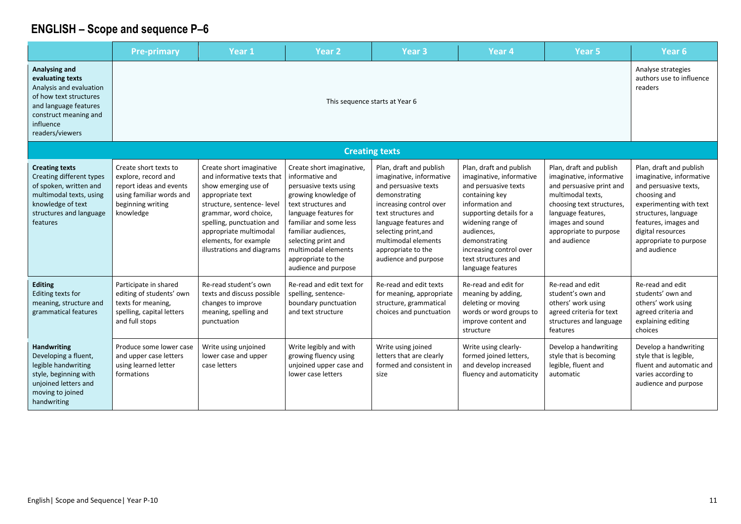|                                                                                                                                                                                 | <b>Pre-primary</b>                                                                                                                    | Year 1                                                                                                                                                                                                                                                                  | Year <sub>2</sub>                                                                                                                                                                                                                                                                           | <b>Year 3</b>                                                                                                                                                                                                                                                        | Year <sub>4</sub>                                                                                                                                                                                                                                                       | Year <sub>5</sub>                                                                                                                                                                                                     | Year <sub>6</sub>                                                                                                                                                                                                                      |  |  |
|---------------------------------------------------------------------------------------------------------------------------------------------------------------------------------|---------------------------------------------------------------------------------------------------------------------------------------|-------------------------------------------------------------------------------------------------------------------------------------------------------------------------------------------------------------------------------------------------------------------------|---------------------------------------------------------------------------------------------------------------------------------------------------------------------------------------------------------------------------------------------------------------------------------------------|----------------------------------------------------------------------------------------------------------------------------------------------------------------------------------------------------------------------------------------------------------------------|-------------------------------------------------------------------------------------------------------------------------------------------------------------------------------------------------------------------------------------------------------------------------|-----------------------------------------------------------------------------------------------------------------------------------------------------------------------------------------------------------------------|----------------------------------------------------------------------------------------------------------------------------------------------------------------------------------------------------------------------------------------|--|--|
| <b>Analysing and</b><br>evaluating texts<br>Analysis and evaluation<br>of how text structures<br>and language features<br>construct meaning and<br>influence<br>readers/viewers | This sequence starts at Year 6                                                                                                        |                                                                                                                                                                                                                                                                         |                                                                                                                                                                                                                                                                                             |                                                                                                                                                                                                                                                                      |                                                                                                                                                                                                                                                                         |                                                                                                                                                                                                                       |                                                                                                                                                                                                                                        |  |  |
|                                                                                                                                                                                 |                                                                                                                                       |                                                                                                                                                                                                                                                                         |                                                                                                                                                                                                                                                                                             | <b>Creating texts</b>                                                                                                                                                                                                                                                |                                                                                                                                                                                                                                                                         |                                                                                                                                                                                                                       |                                                                                                                                                                                                                                        |  |  |
| <b>Creating texts</b><br>Creating different types<br>of spoken, written and<br>multimodal texts, using<br>knowledge of text<br>structures and language<br>features              | Create short texts to<br>explore, record and<br>report ideas and events<br>using familiar words and<br>beginning writing<br>knowledge | Create short imaginative<br>and informative texts that<br>show emerging use of<br>appropriate text<br>structure, sentence- level<br>grammar, word choice,<br>spelling, punctuation and<br>appropriate multimodal<br>elements, for example<br>illustrations and diagrams | Create short imaginative,<br>informative and<br>persuasive texts using<br>growing knowledge of<br>text structures and<br>language features for<br>familiar and some less<br>familiar audiences.<br>selecting print and<br>multimodal elements<br>appropriate to the<br>audience and purpose | Plan, draft and publish<br>imaginative, informative<br>and persuasive texts<br>demonstrating<br>increasing control over<br>text structures and<br>language features and<br>selecting print, and<br>multimodal elements<br>appropriate to the<br>audience and purpose | Plan, draft and publish<br>imaginative, informative<br>and persuasive texts<br>containing key<br>information and<br>supporting details for a<br>widening range of<br>audiences,<br>demonstrating<br>increasing control over<br>text structures and<br>language features | Plan, draft and publish<br>imaginative, informative<br>and persuasive print and<br>multimodal texts,<br>choosing text structures,<br>language features,<br>images and sound<br>appropriate to purpose<br>and audience | Plan, draft and publish<br>imaginative, informative<br>and persuasive texts,<br>choosing and<br>experimenting with text<br>structures, language<br>features, images and<br>digital resources<br>appropriate to purpose<br>and audience |  |  |
| <b>Editing</b><br>Editing texts for<br>meaning, structure and<br>grammatical features                                                                                           | Participate in shared<br>editing of students' own<br>texts for meaning,<br>spelling, capital letters<br>and full stops                | Re-read student's own<br>texts and discuss possible<br>changes to improve<br>meaning, spelling and<br>punctuation                                                                                                                                                       | Re-read and edit text for<br>spelling, sentence-<br>boundary punctuation<br>and text structure                                                                                                                                                                                              | Re-read and edit texts<br>for meaning, appropriate<br>structure, grammatical<br>choices and punctuation                                                                                                                                                              | Re-read and edit for<br>meaning by adding,<br>deleting or moving<br>words or word groups to<br>improve content and<br>structure                                                                                                                                         | Re-read and edit<br>student's own and<br>others' work using<br>agreed criteria for text<br>structures and language<br>features                                                                                        | Re-read and edit<br>students' own and<br>others' work using<br>agreed criteria and<br>explaining editing<br>choices                                                                                                                    |  |  |
| <b>Handwriting</b><br>Developing a fluent,<br>legible handwriting<br>style, beginning with<br>unjoined letters and<br>moving to joined<br>handwriting                           | Produce some lower case<br>and upper case letters<br>using learned letter<br>formations                                               | Write using unjoined<br>lower case and upper<br>case letters                                                                                                                                                                                                            | Write legibly and with<br>growing fluency using<br>unjoined upper case and<br>lower case letters                                                                                                                                                                                            | Write using joined<br>letters that are clearly<br>formed and consistent in<br>size                                                                                                                                                                                   | Write using clearly-<br>formed joined letters,<br>and develop increased<br>fluency and automaticity                                                                                                                                                                     | Develop a handwriting<br>style that is becoming<br>legible, fluent and<br>automatic                                                                                                                                   | Develop a handwriting<br>style that is legible,<br>fluent and automatic and<br>varies according to<br>audience and purpose                                                                                                             |  |  |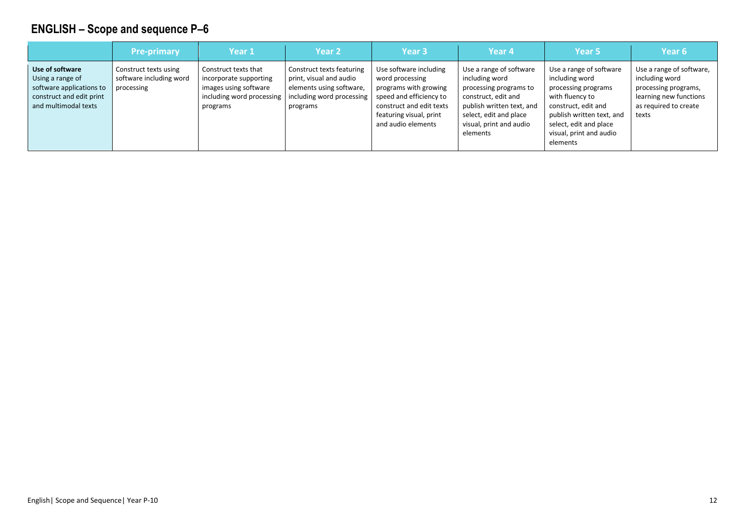|                                                                                                                     | <b>Pre-primary</b>                                             | Year 1                                                                                                           | <b>Year 2</b>                                                                                                             | Year <sub>3</sub>                                                                                                                                                          | Year 4                                                                                                                                                                                   | Year 5                                                                                                                                                                                                   | Year <sub>6</sub>                                                                                                              |
|---------------------------------------------------------------------------------------------------------------------|----------------------------------------------------------------|------------------------------------------------------------------------------------------------------------------|---------------------------------------------------------------------------------------------------------------------------|----------------------------------------------------------------------------------------------------------------------------------------------------------------------------|------------------------------------------------------------------------------------------------------------------------------------------------------------------------------------------|----------------------------------------------------------------------------------------------------------------------------------------------------------------------------------------------------------|--------------------------------------------------------------------------------------------------------------------------------|
| Use of software<br>Using a range of<br>software applications to<br>construct and edit print<br>and multimodal texts | Construct texts using<br>software including word<br>processing | Construct texts that<br>incorporate supporting<br>images using software<br>including word processing<br>programs | Construct texts featuring<br>print, visual and audio<br>elements using software,<br>including word processing<br>programs | Use software including<br>word processing<br>programs with growing<br>speed and efficiency to<br>construct and edit texts<br>featuring visual, print<br>and audio elements | Use a range of software<br>including word<br>processing programs to<br>construct, edit and<br>publish written text, and<br>select, edit and place<br>visual, print and audio<br>elements | Use a range of software<br>including word<br>processing programs<br>with fluency to<br>construct, edit and<br>publish written text, and<br>select, edit and place<br>visual, print and audio<br>elements | Use a range of software,<br>including word<br>processing programs,<br>learning new functions<br>as required to create<br>texts |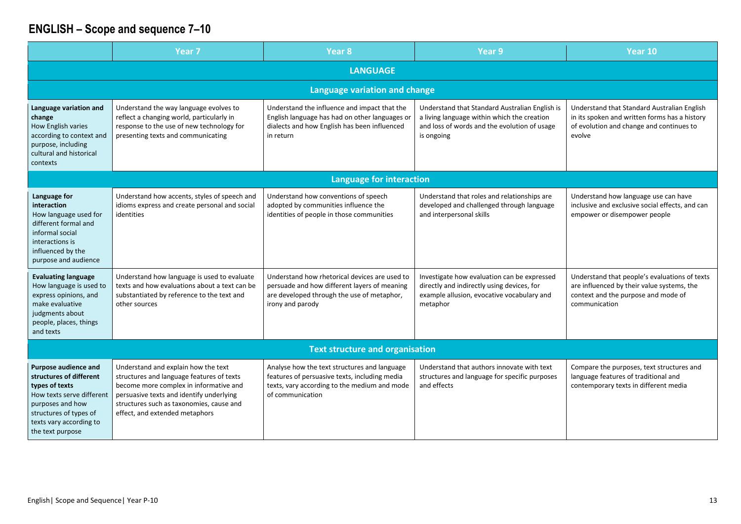|                                                                                                                                                                                             | Year <sub>7</sub>                                                                                                                                                                                                                                    | Year <sub>8</sub>                                                                                                                                                 | Year <sub>9</sub>                                                                                                                                           | Year 10                                                                                                                                             |  |
|---------------------------------------------------------------------------------------------------------------------------------------------------------------------------------------------|------------------------------------------------------------------------------------------------------------------------------------------------------------------------------------------------------------------------------------------------------|-------------------------------------------------------------------------------------------------------------------------------------------------------------------|-------------------------------------------------------------------------------------------------------------------------------------------------------------|-----------------------------------------------------------------------------------------------------------------------------------------------------|--|
| <b>LANGUAGE</b>                                                                                                                                                                             |                                                                                                                                                                                                                                                      |                                                                                                                                                                   |                                                                                                                                                             |                                                                                                                                                     |  |
|                                                                                                                                                                                             |                                                                                                                                                                                                                                                      | <b>Language variation and change</b>                                                                                                                              |                                                                                                                                                             |                                                                                                                                                     |  |
| Language variation and<br>change<br>How English varies<br>according to context and<br>purpose, including<br>cultural and historical<br>contexts                                             | Understand the way language evolves to<br>reflect a changing world, particularly in<br>response to the use of new technology for<br>presenting texts and communicating                                                                               | Understand the influence and impact that the<br>English language has had on other languages or<br>dialects and how English has been influenced<br>in return       | Understand that Standard Australian English is<br>a living language within which the creation<br>and loss of words and the evolution of usage<br>is ongoing | Understand that Standard Australian English<br>in its spoken and written forms has a history<br>of evolution and change and continues to<br>evolve  |  |
|                                                                                                                                                                                             |                                                                                                                                                                                                                                                      | <b>Language for interaction</b>                                                                                                                                   |                                                                                                                                                             |                                                                                                                                                     |  |
| Language for<br>interaction<br>How language used for<br>different formal and<br>informal social<br>interactions is<br>influenced by the<br>purpose and audience                             | Understand how accents, styles of speech and<br>idioms express and create personal and social<br>identities                                                                                                                                          | Understand how conventions of speech<br>adopted by communities influence the<br>identities of people in those communities                                         | Understand that roles and relationships are<br>developed and challenged through language<br>and interpersonal skills                                        | Understand how language use can have<br>inclusive and exclusive social effects, and can<br>empower or disempower people                             |  |
| <b>Evaluating language</b><br>How language is used to<br>express opinions, and<br>make evaluative<br>judgments about<br>people, places, things<br>and texts                                 | Understand how language is used to evaluate<br>texts and how evaluations about a text can be<br>substantiated by reference to the text and<br>other sources                                                                                          | Understand how rhetorical devices are used to<br>persuade and how different layers of meaning<br>are developed through the use of metaphor,<br>irony and parody   | Investigate how evaluation can be expressed<br>directly and indirectly using devices, for<br>example allusion, evocative vocabulary and<br>metaphor         | Understand that people's evaluations of texts<br>are influenced by their value systems, the<br>context and the purpose and mode of<br>communication |  |
|                                                                                                                                                                                             |                                                                                                                                                                                                                                                      | <b>Text structure and organisation</b>                                                                                                                            |                                                                                                                                                             |                                                                                                                                                     |  |
| Purpose audience and<br>structures of different<br>types of texts<br>How texts serve different<br>purposes and how<br>structures of types of<br>texts vary according to<br>the text purpose | Understand and explain how the text<br>structures and language features of texts<br>become more complex in informative and<br>persuasive texts and identify underlying<br>structures such as taxonomies, cause and<br>effect, and extended metaphors | Analyse how the text structures and language<br>features of persuasive texts, including media<br>texts, vary according to the medium and mode<br>of communication | Understand that authors innovate with text<br>structures and language for specific purposes<br>and effects                                                  | Compare the purposes, text structures and<br>language features of traditional and<br>contemporary texts in different media                          |  |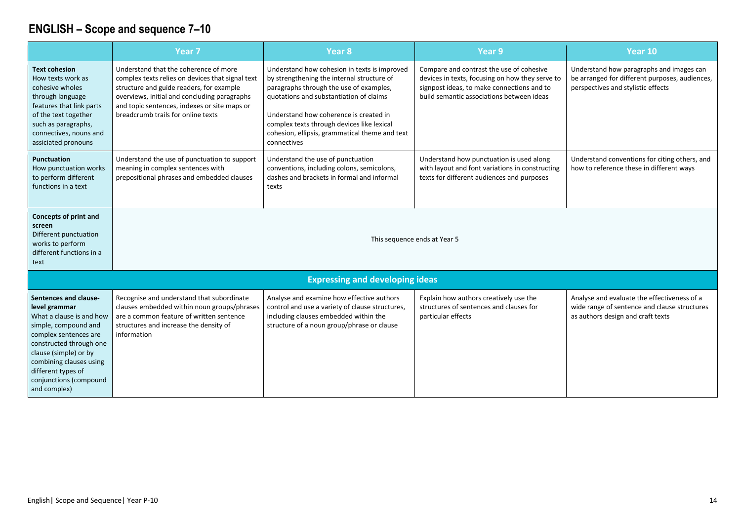|                                                                                                                                                                                                                                                                    | Year <sub>7</sub>                                                                                                                                                                                                                                                           | Year <sub>8</sub>                                                                                                                                                                                                                                                                                                                         | Year 9                                                                                                                                                                                 | Year 10                                                                                                                          |
|--------------------------------------------------------------------------------------------------------------------------------------------------------------------------------------------------------------------------------------------------------------------|-----------------------------------------------------------------------------------------------------------------------------------------------------------------------------------------------------------------------------------------------------------------------------|-------------------------------------------------------------------------------------------------------------------------------------------------------------------------------------------------------------------------------------------------------------------------------------------------------------------------------------------|----------------------------------------------------------------------------------------------------------------------------------------------------------------------------------------|----------------------------------------------------------------------------------------------------------------------------------|
| <b>Text cohesion</b><br>How texts work as<br>cohesive wholes<br>through language<br>features that link parts<br>of the text together<br>such as paragraphs,<br>connectives, nouns and<br>assiciated pronouns                                                       | Understand that the coherence of more<br>complex texts relies on devices that signal text<br>structure and guide readers, for example<br>overviews, initial and concluding paragraphs<br>and topic sentences, indexes or site maps or<br>breadcrumb trails for online texts | Understand how cohesion in texts is improved<br>by strengthening the internal structure of<br>paragraphs through the use of examples,<br>quotations and substantiation of claims<br>Understand how coherence is created in<br>complex texts through devices like lexical<br>cohesion, ellipsis, grammatical theme and text<br>connectives | Compare and contrast the use of cohesive<br>devices in texts, focusing on how they serve to<br>signpost ideas, to make connections and to<br>build semantic associations between ideas | Understand how paragraphs and images can<br>be arranged for different purposes, audiences,<br>perspectives and stylistic effects |
| <b>Punctuation</b><br>How punctuation works<br>to perform different<br>functions in a text                                                                                                                                                                         | Understand the use of punctuation to support<br>meaning in complex sentences with<br>prepositional phrases and embedded clauses                                                                                                                                             | Understand the use of punctuation<br>conventions, including colons, semicolons,<br>dashes and brackets in formal and informal<br>texts                                                                                                                                                                                                    | Understand how punctuation is used along<br>with layout and font variations in constructing<br>texts for different audiences and purposes                                              | Understand conventions for citing others, and<br>how to reference these in different ways                                        |
| <b>Concepts of print and</b><br>screen<br>Different punctuation<br>works to perform<br>different functions in a<br>text                                                                                                                                            |                                                                                                                                                                                                                                                                             | This sequence ends at Year 5                                                                                                                                                                                                                                                                                                              |                                                                                                                                                                                        |                                                                                                                                  |
|                                                                                                                                                                                                                                                                    |                                                                                                                                                                                                                                                                             | <b>Expressing and developing ideas</b>                                                                                                                                                                                                                                                                                                    |                                                                                                                                                                                        |                                                                                                                                  |
| Sentences and clause-<br>level grammar<br>What a clause is and how<br>simple, compound and<br>complex sentences are<br>constructed through one<br>clause (simple) or by<br>combining clauses using<br>different types of<br>conjunctions (compound<br>and complex) | Recognise and understand that subordinate<br>clauses embedded within noun groups/phrases<br>are a common feature of written sentence<br>structures and increase the density of<br>information                                                                               | Analyse and examine how effective authors<br>control and use a variety of clause structures,<br>including clauses embedded within the<br>structure of a noun group/phrase or clause                                                                                                                                                       | Explain how authors creatively use the<br>structures of sentences and clauses for<br>particular effects                                                                                | Analyse and evaluate the effectiveness of a<br>wide range of sentence and clause structures<br>as authors design and craft texts |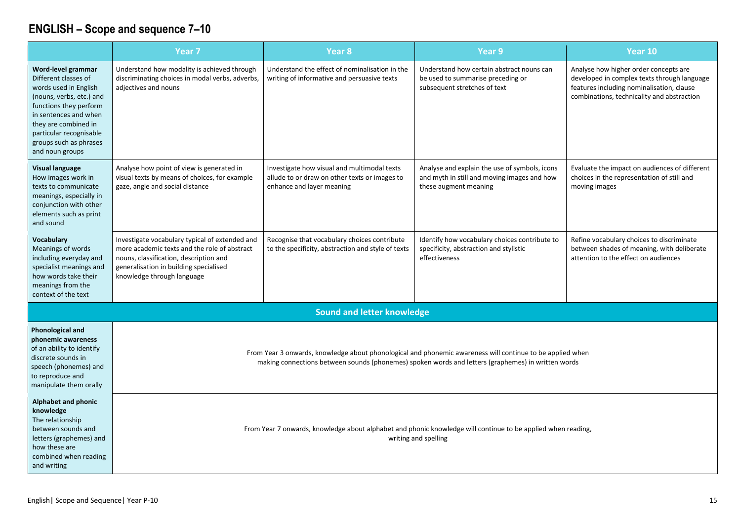|                                                                                                                                                                                                                                                    | Year <sub>7</sub>                                                                                                                                                                                                | Year 8                                                                                                                    | <b>Year 9</b>                                                                                                                                                                                                   | Year 10                                                                                                                                                                         |
|----------------------------------------------------------------------------------------------------------------------------------------------------------------------------------------------------------------------------------------------------|------------------------------------------------------------------------------------------------------------------------------------------------------------------------------------------------------------------|---------------------------------------------------------------------------------------------------------------------------|-----------------------------------------------------------------------------------------------------------------------------------------------------------------------------------------------------------------|---------------------------------------------------------------------------------------------------------------------------------------------------------------------------------|
| Word-level grammar<br>Different classes of<br>words used in English<br>(nouns, verbs, etc.) and<br>functions they perform<br>in sentences and when<br>they are combined in<br>particular recognisable<br>groups such as phrases<br>and noun groups | Understand how modality is achieved through<br>discriminating choices in modal verbs, adverbs,<br>adjectives and nouns                                                                                           | Understand the effect of nominalisation in the<br>writing of informative and persuasive texts                             | Understand how certain abstract nouns can<br>be used to summarise preceding or<br>subsequent stretches of text                                                                                                  | Analyse how higher order concepts are<br>developed in complex texts through language<br>features including nominalisation, clause<br>combinations, technicality and abstraction |
| <b>Visual language</b><br>How images work in<br>texts to communicate<br>meanings, especially in<br>conjunction with other<br>elements such as print<br>and sound                                                                                   | Analyse how point of view is generated in<br>visual texts by means of choices, for example<br>gaze, angle and social distance                                                                                    | Investigate how visual and multimodal texts<br>allude to or draw on other texts or images to<br>enhance and layer meaning | Analyse and explain the use of symbols, icons<br>and myth in still and moving images and how<br>these augment meaning                                                                                           | Evaluate the impact on audiences of different<br>choices in the representation of still and<br>moving images                                                                    |
| <b>Vocabulary</b><br>Meanings of words<br>including everyday and<br>specialist meanings and<br>how words take their<br>meanings from the<br>context of the text                                                                                    | Investigate vocabulary typical of extended and<br>more academic texts and the role of abstract<br>nouns, classification, description and<br>generalisation in building specialised<br>knowledge through language | Recognise that vocabulary choices contribute<br>to the specificity, abstraction and style of texts                        | Identify how vocabulary choices contribute to<br>specificity, abstraction and stylistic<br>effectiveness                                                                                                        | Refine vocabulary choices to discriminate<br>between shades of meaning, with deliberate<br>attention to the effect on audiences                                                 |
|                                                                                                                                                                                                                                                    |                                                                                                                                                                                                                  | <b>Sound and letter knowledge</b>                                                                                         |                                                                                                                                                                                                                 |                                                                                                                                                                                 |
| <b>Phonological and</b><br>phonemic awareness<br>of an ability to identify<br>discrete sounds in<br>speech (phonemes) and<br>to reproduce and<br>manipulate them orally                                                                            |                                                                                                                                                                                                                  |                                                                                                                           | From Year 3 onwards, knowledge about phonological and phonemic awareness will continue to be applied when<br>making connections between sounds (phonemes) spoken words and letters (graphemes) in written words |                                                                                                                                                                                 |
| Alphabet and phonic<br>knowledge<br>The relationship<br>between sounds and<br>letters (graphemes) and<br>how these are<br>combined when reading<br>and writing                                                                                     |                                                                                                                                                                                                                  |                                                                                                                           | From Year 7 onwards, knowledge about alphabet and phonic knowledge will continue to be applied when reading,<br>writing and spelling                                                                            |                                                                                                                                                                                 |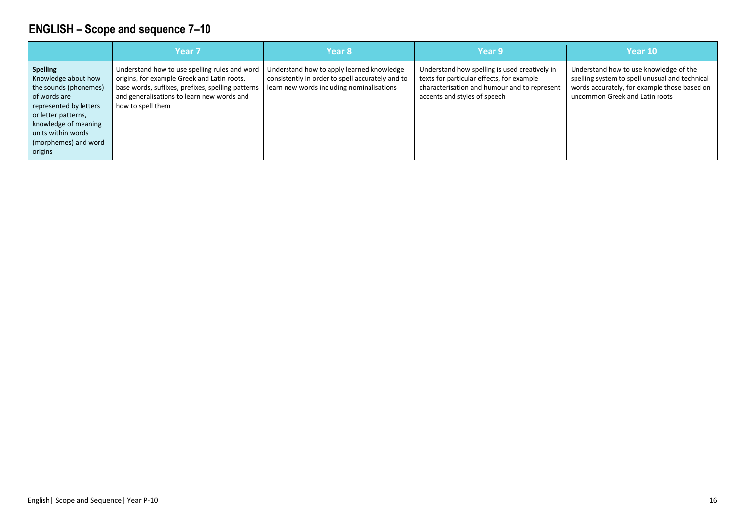|                                                                                                                                                                                                                   | Year <sub>7</sub>                                                                                                                                                                                                    | Year 8                                                                                                                                     | Year 9                                                                                                                                                                     | Year 10                                                                                                                                                                    |
|-------------------------------------------------------------------------------------------------------------------------------------------------------------------------------------------------------------------|----------------------------------------------------------------------------------------------------------------------------------------------------------------------------------------------------------------------|--------------------------------------------------------------------------------------------------------------------------------------------|----------------------------------------------------------------------------------------------------------------------------------------------------------------------------|----------------------------------------------------------------------------------------------------------------------------------------------------------------------------|
| <b>Spelling</b><br>Knowledge about how<br>the sounds (phonemes)<br>of words are<br>represented by letters<br>or letter patterns,<br>knowledge of meaning<br>units within words<br>(morphemes) and word<br>origins | Understand how to use spelling rules and word<br>origins, for example Greek and Latin roots,<br>base words, suffixes, prefixes, spelling patterns<br>and generalisations to learn new words and<br>how to spell them | Understand how to apply learned knowledge<br>consistently in order to spell accurately and to<br>learn new words including nominalisations | Understand how spelling is used creatively in<br>texts for particular effects, for example<br>characterisation and humour and to represent<br>accents and styles of speech | Understand how to use knowledge of the<br>spelling system to spell unusual and technical<br>words accurately, for example those based on<br>uncommon Greek and Latin roots |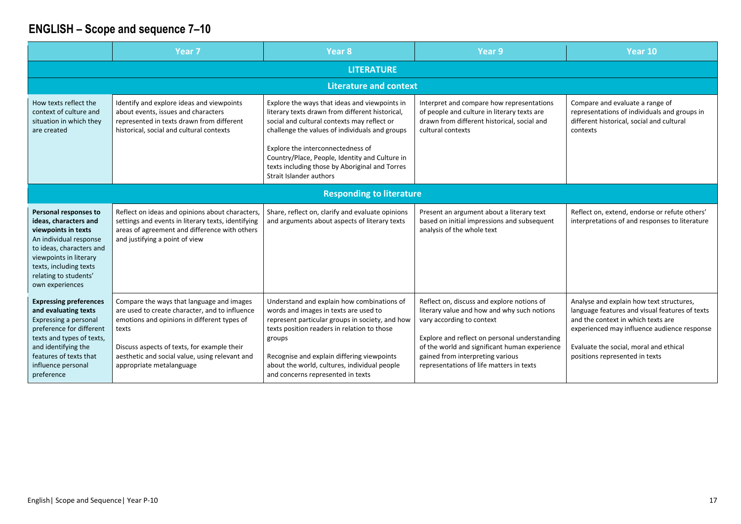|                                                                                                                                                                                                                              | Year 7                                                                                                                                                                                                                                                                           | Year <sub>8</sub>                                                                                                                                                                                                                                                                                                                                                     | Year <sub>9</sub>                                                                                                                                                                                                                                                                                        | Year 10                                                                                                                                                                                                                                                     |
|------------------------------------------------------------------------------------------------------------------------------------------------------------------------------------------------------------------------------|----------------------------------------------------------------------------------------------------------------------------------------------------------------------------------------------------------------------------------------------------------------------------------|-----------------------------------------------------------------------------------------------------------------------------------------------------------------------------------------------------------------------------------------------------------------------------------------------------------------------------------------------------------------------|----------------------------------------------------------------------------------------------------------------------------------------------------------------------------------------------------------------------------------------------------------------------------------------------------------|-------------------------------------------------------------------------------------------------------------------------------------------------------------------------------------------------------------------------------------------------------------|
|                                                                                                                                                                                                                              |                                                                                                                                                                                                                                                                                  | <b>LITERATURE</b>                                                                                                                                                                                                                                                                                                                                                     |                                                                                                                                                                                                                                                                                                          |                                                                                                                                                                                                                                                             |
|                                                                                                                                                                                                                              |                                                                                                                                                                                                                                                                                  | <b>Literature and context</b>                                                                                                                                                                                                                                                                                                                                         |                                                                                                                                                                                                                                                                                                          |                                                                                                                                                                                                                                                             |
| How texts reflect the<br>context of culture and<br>situation in which they<br>are created                                                                                                                                    | Identify and explore ideas and viewpoints<br>about events, issues and characters<br>represented in texts drawn from different<br>historical, social and cultural contexts                                                                                                        | Explore the ways that ideas and viewpoints in<br>literary texts drawn from different historical,<br>social and cultural contexts may reflect or<br>challenge the values of individuals and groups<br>Explore the interconnectedness of<br>Country/Place, People, Identity and Culture in<br>texts including those by Aboriginal and Torres<br>Strait Islander authors | Interpret and compare how representations<br>of people and culture in literary texts are<br>drawn from different historical, social and<br>cultural contexts                                                                                                                                             | Compare and evaluate a range of<br>representations of individuals and groups in<br>different historical, social and cultural<br>contexts                                                                                                                    |
|                                                                                                                                                                                                                              |                                                                                                                                                                                                                                                                                  | <b>Responding to literature</b>                                                                                                                                                                                                                                                                                                                                       |                                                                                                                                                                                                                                                                                                          |                                                                                                                                                                                                                                                             |
| Personal responses to<br>ideas, characters and<br>viewpoints in texts<br>An individual response<br>to ideas, characters and<br>viewpoints in literary<br>texts, including texts<br>relating to students'<br>own experiences  | Reflect on ideas and opinions about characters,<br>settings and events in literary texts, identifying<br>areas of agreement and difference with others<br>and justifying a point of view                                                                                         | Share, reflect on, clarify and evaluate opinions<br>and arguments about aspects of literary texts                                                                                                                                                                                                                                                                     | Present an argument about a literary text<br>based on initial impressions and subsequent<br>analysis of the whole text                                                                                                                                                                                   | Reflect on, extend, endorse or refute others'<br>interpretations of and responses to literature                                                                                                                                                             |
| <b>Expressing preferences</b><br>and evaluating texts<br>Expressing a personal<br>preference for different<br>texts and types of texts,<br>and identifying the<br>features of texts that<br>influence personal<br>preference | Compare the ways that language and images<br>are used to create character, and to influence<br>emotions and opinions in different types of<br>texts<br>Discuss aspects of texts, for example their<br>aesthetic and social value, using relevant and<br>appropriate metalanguage | Understand and explain how combinations of<br>words and images in texts are used to<br>represent particular groups in society, and how<br>texts position readers in relation to those<br>groups<br>Recognise and explain differing viewpoints<br>about the world, cultures, individual people<br>and concerns represented in texts                                    | Reflect on, discuss and explore notions of<br>literary value and how and why such notions<br>vary according to context<br>Explore and reflect on personal understanding<br>of the world and significant human experience<br>gained from interpreting various<br>representations of life matters in texts | Analyse and explain how text structures,<br>language features and visual features of texts<br>and the context in which texts are<br>experienced may influence audience response<br>Evaluate the social, moral and ethical<br>positions represented in texts |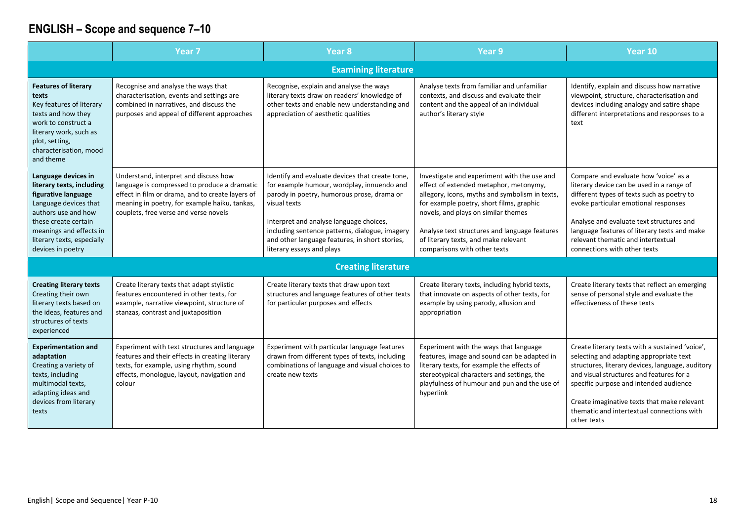|                                                                                                                                                                                                                               | Year <sub>7</sub>                                                                                                                                                                                                                   | Year <sub>8</sub>                                                                                                                                                                                                                                                                                                                       | Year <sub>9</sub>                                                                                                                                                                                                                                                                                                                                   | Year 10                                                                                                                                                                                                                                                                                                                                          |  |
|-------------------------------------------------------------------------------------------------------------------------------------------------------------------------------------------------------------------------------|-------------------------------------------------------------------------------------------------------------------------------------------------------------------------------------------------------------------------------------|-----------------------------------------------------------------------------------------------------------------------------------------------------------------------------------------------------------------------------------------------------------------------------------------------------------------------------------------|-----------------------------------------------------------------------------------------------------------------------------------------------------------------------------------------------------------------------------------------------------------------------------------------------------------------------------------------------------|--------------------------------------------------------------------------------------------------------------------------------------------------------------------------------------------------------------------------------------------------------------------------------------------------------------------------------------------------|--|
|                                                                                                                                                                                                                               | <b>Examining literature</b>                                                                                                                                                                                                         |                                                                                                                                                                                                                                                                                                                                         |                                                                                                                                                                                                                                                                                                                                                     |                                                                                                                                                                                                                                                                                                                                                  |  |
| <b>Features of literary</b><br>texts<br>Key features of literary<br>texts and how they<br>work to construct a<br>literary work, such as<br>plot, setting,<br>characterisation, mood<br>and theme                              | Recognise and analyse the ways that<br>characterisation, events and settings are<br>combined in narratives, and discuss the<br>purposes and appeal of different approaches                                                          | Recognise, explain and analyse the ways<br>literary texts draw on readers' knowledge of<br>other texts and enable new understanding and<br>appreciation of aesthetic qualities                                                                                                                                                          | Analyse texts from familiar and unfamiliar<br>contexts, and discuss and evaluate their<br>content and the appeal of an individual<br>author's literary style                                                                                                                                                                                        | Identify, explain and discuss how narrative<br>viewpoint, structure, characterisation and<br>devices including analogy and satire shape<br>different interpretations and responses to a<br>text                                                                                                                                                  |  |
| Language devices in<br>literary texts, including<br>figurative language<br>Language devices that<br>authors use and how<br>these create certain<br>meanings and effects in<br>literary texts, especially<br>devices in poetry | Understand, interpret and discuss how<br>language is compressed to produce a dramatic<br>effect in film or drama, and to create layers of<br>meaning in poetry, for example haiku, tankas,<br>couplets, free verse and verse novels | Identify and evaluate devices that create tone,<br>for example humour, wordplay, innuendo and<br>parody in poetry, humorous prose, drama or<br>visual texts<br>Interpret and analyse language choices,<br>including sentence patterns, dialogue, imagery<br>and other language features, in short stories,<br>literary essays and plays | Investigate and experiment with the use and<br>effect of extended metaphor, metonymy,<br>allegory, icons, myths and symbolism in texts,<br>for example poetry, short films, graphic<br>novels, and plays on similar themes<br>Analyse text structures and language features<br>of literary texts, and make relevant<br>comparisons with other texts | Compare and evaluate how 'voice' as a<br>literary device can be used in a range of<br>different types of texts such as poetry to<br>evoke particular emotional responses<br>Analyse and evaluate text structures and<br>language features of literary texts and make<br>relevant thematic and intertextual<br>connections with other texts       |  |
|                                                                                                                                                                                                                               |                                                                                                                                                                                                                                     | <b>Creating literature</b>                                                                                                                                                                                                                                                                                                              |                                                                                                                                                                                                                                                                                                                                                     |                                                                                                                                                                                                                                                                                                                                                  |  |
| <b>Creating literary texts</b><br>Creating their own<br>literary texts based on<br>the ideas, features and<br>structures of texts<br>experienced                                                                              | Create literary texts that adapt stylistic<br>features encountered in other texts, for<br>example, narrative viewpoint, structure of<br>stanzas, contrast and juxtaposition                                                         | Create literary texts that draw upon text<br>structures and language features of other texts<br>for particular purposes and effects                                                                                                                                                                                                     | Create literary texts, including hybrid texts,<br>that innovate on aspects of other texts, for<br>example by using parody, allusion and<br>appropriation                                                                                                                                                                                            | Create literary texts that reflect an emerging<br>sense of personal style and evaluate the<br>effectiveness of these texts                                                                                                                                                                                                                       |  |
| <b>Experimentation and</b><br>adaptation<br>Creating a variety of<br>texts, including<br>multimodal texts,<br>adapting ideas and<br>devices from literary<br>texts                                                            | Experiment with text structures and language<br>features and their effects in creating literary<br>texts, for example, using rhythm, sound<br>effects, monologue, layout, navigation and<br>colour                                  | Experiment with particular language features<br>drawn from different types of texts, including<br>combinations of language and visual choices to<br>create new texts                                                                                                                                                                    | Experiment with the ways that language<br>features, image and sound can be adapted in<br>literary texts, for example the effects of<br>stereotypical characters and settings, the<br>playfulness of humour and pun and the use of<br>hyperlink                                                                                                      | Create literary texts with a sustained 'voice',<br>selecting and adapting appropriate text<br>structures, literary devices, language, auditory<br>and visual structures and features for a<br>specific purpose and intended audience<br>Create imaginative texts that make relevant<br>thematic and intertextual connections with<br>other texts |  |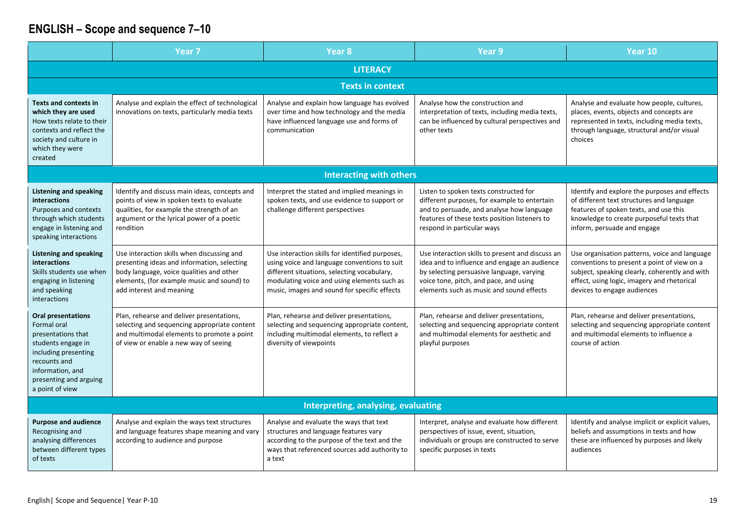|                                                                                                                                                                                               | Year <sub>7</sub>                                                                                                                                                                                               | Year 8                                                                                                                                                                                                                                        | Year 9                                                                                                                                                                                                                              | Year 10                                                                                                                                                                                                                      |  |
|-----------------------------------------------------------------------------------------------------------------------------------------------------------------------------------------------|-----------------------------------------------------------------------------------------------------------------------------------------------------------------------------------------------------------------|-----------------------------------------------------------------------------------------------------------------------------------------------------------------------------------------------------------------------------------------------|-------------------------------------------------------------------------------------------------------------------------------------------------------------------------------------------------------------------------------------|------------------------------------------------------------------------------------------------------------------------------------------------------------------------------------------------------------------------------|--|
|                                                                                                                                                                                               | <b>LITERACY</b>                                                                                                                                                                                                 |                                                                                                                                                                                                                                               |                                                                                                                                                                                                                                     |                                                                                                                                                                                                                              |  |
| <b>Texts in context</b>                                                                                                                                                                       |                                                                                                                                                                                                                 |                                                                                                                                                                                                                                               |                                                                                                                                                                                                                                     |                                                                                                                                                                                                                              |  |
| <b>Texts and contexts in</b><br>which they are used<br>How texts relate to their<br>contexts and reflect the<br>society and culture in<br>which they were<br>created                          | Analyse and explain the effect of technological<br>innovations on texts, particularly media texts                                                                                                               | Analyse and explain how language has evolved<br>over time and how technology and the media<br>have influenced language use and forms of<br>communication                                                                                      | Analyse how the construction and<br>interpretation of texts, including media texts,<br>can be influenced by cultural perspectives and<br>other texts                                                                                | Analyse and evaluate how people, cultures,<br>places, events, objects and concepts are<br>represented in texts, including media texts,<br>through language, structural and/or visual<br>choices                              |  |
|                                                                                                                                                                                               |                                                                                                                                                                                                                 | <b>Interacting with others</b>                                                                                                                                                                                                                |                                                                                                                                                                                                                                     |                                                                                                                                                                                                                              |  |
| <b>Listening and speaking</b><br>interactions<br>Purposes and contexts<br>through which students<br>engage in listening and<br>speaking interactions                                          | Identify and discuss main ideas, concepts and<br>points of view in spoken texts to evaluate<br>qualities, for example the strength of an<br>argument or the lyrical power of a poetic<br>rendition              | Interpret the stated and implied meanings in<br>spoken texts, and use evidence to support or<br>challenge different perspectives                                                                                                              | Listen to spoken texts constructed for<br>different purposes, for example to entertain<br>and to persuade, and analyse how language<br>features of these texts position listeners to<br>respond in particular ways                  | Identify and explore the purposes and effects<br>of different text structures and language<br>features of spoken texts, and use this<br>knowledge to create purposeful texts that<br>inform, persuade and engage             |  |
| <b>Listening and speaking</b><br>interactions<br>Skills students use when<br>engaging in listening<br>and speaking<br>interactions                                                            | Use interaction skills when discussing and<br>presenting ideas and information, selecting<br>body language, voice qualities and other<br>elements, (for example music and sound) to<br>add interest and meaning | Use interaction skills for identified purposes,<br>using voice and language conventions to suit<br>different situations, selecting vocabulary,<br>modulating voice and using elements such as<br>music, images and sound for specific effects | Use interaction skills to present and discuss an<br>idea and to influence and engage an audience<br>by selecting persuasive language, varying<br>voice tone, pitch, and pace, and using<br>elements such as music and sound effects | Use organisation patterns, voice and language<br>conventions to present a point of view on a<br>subject, speaking clearly, coherently and with<br>effect, using logic, imagery and rhetorical<br>devices to engage audiences |  |
| <b>Oral presentations</b><br>Formal oral<br>presentations that<br>students engage in<br>including presenting<br>recounts and<br>information, and<br>presenting and arguing<br>a point of view | Plan, rehearse and deliver presentations,<br>selecting and sequencing appropriate content<br>and multimodal elements to promote a point<br>of view or enable a new way of seeing                                | Plan, rehearse and deliver presentations,<br>selecting and sequencing appropriate content,<br>including multimodal elements, to reflect a<br>diversity of viewpoints                                                                          | Plan, rehearse and deliver presentations,<br>selecting and sequencing appropriate content<br>and multimodal elements for aesthetic and<br>playful purposes                                                                          | Plan, rehearse and deliver presentations,<br>selecting and sequencing appropriate content<br>and multimodal elements to influence a<br>course of action                                                                      |  |
|                                                                                                                                                                                               |                                                                                                                                                                                                                 | Interpreting, analysing, evaluating                                                                                                                                                                                                           |                                                                                                                                                                                                                                     |                                                                                                                                                                                                                              |  |
| <b>Purpose and audience</b><br>Recognising and<br>analysing differences<br>between different types<br>of texts                                                                                | Analyse and explain the ways text structures<br>and language features shape meaning and vary<br>according to audience and purpose                                                                               | Analyse and evaluate the ways that text<br>structures and language features vary<br>according to the purpose of the text and the<br>ways that referenced sources add authority to<br>a text                                                   | Interpret, analyse and evaluate how different<br>perspectives of issue, event, situation,<br>individuals or groups are constructed to serve<br>specific purposes in texts                                                           | Identify and analyse implicit or explicit values,<br>beliefs and assumptions in texts and how<br>these are influenced by purposes and likely<br>audiences                                                                    |  |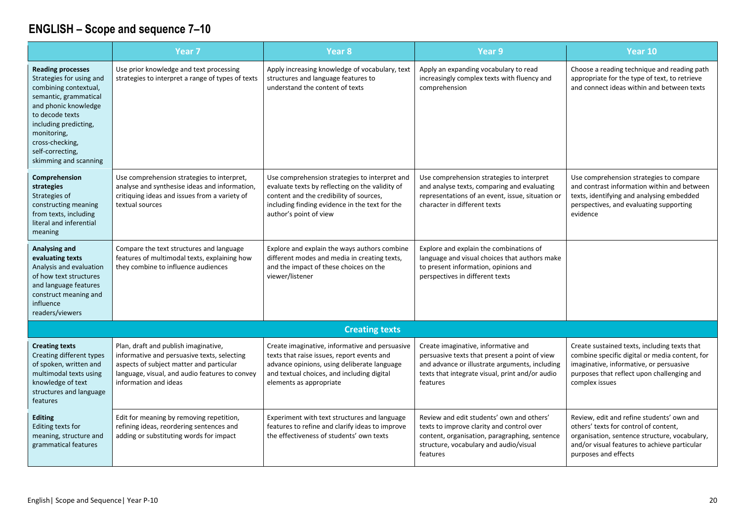|                                                                                                                                                                                                                                                           | Year <sub>7</sub>                                                                                                                                                                                          | Year 8                                                                                                                                                                                                                  | Year 9                                                                                                                                                                                                | Year 10                                                                                                                                                                                                     |
|-----------------------------------------------------------------------------------------------------------------------------------------------------------------------------------------------------------------------------------------------------------|------------------------------------------------------------------------------------------------------------------------------------------------------------------------------------------------------------|-------------------------------------------------------------------------------------------------------------------------------------------------------------------------------------------------------------------------|-------------------------------------------------------------------------------------------------------------------------------------------------------------------------------------------------------|-------------------------------------------------------------------------------------------------------------------------------------------------------------------------------------------------------------|
| <b>Reading processes</b><br>Strategies for using and<br>combining contextual,<br>semantic, grammatical<br>and phonic knowledge<br>to decode texts<br>including predicting,<br>monitoring,<br>cross-checking,<br>self-correcting,<br>skimming and scanning | Use prior knowledge and text processing<br>strategies to interpret a range of types of texts                                                                                                               | Apply increasing knowledge of vocabulary, text<br>structures and language features to<br>understand the content of texts                                                                                                | Apply an expanding vocabulary to read<br>increasingly complex texts with fluency and<br>comprehension                                                                                                 | Choose a reading technique and reading path<br>appropriate for the type of text, to retrieve<br>and connect ideas within and between texts                                                                  |
| Comprehension<br>strategies<br>Strategies of<br>constructing meaning<br>from texts, including<br>literal and inferential<br>meaning                                                                                                                       | Use comprehension strategies to interpret,<br>analyse and synthesise ideas and information,<br>critiquing ideas and issues from a variety of<br>textual sources                                            | Use comprehension strategies to interpret and<br>evaluate texts by reflecting on the validity of<br>content and the credibility of sources,<br>including finding evidence in the text for the<br>author's point of view | Use comprehension strategies to interpret<br>and analyse texts, comparing and evaluating<br>representations of an event, issue, situation or<br>character in different texts                          | Use comprehension strategies to compare<br>and contrast information within and between<br>texts, identifying and analysing embedded<br>perspectives, and evaluating supporting<br>evidence                  |
| Analysing and<br>evaluating texts<br>Analysis and evaluation<br>of how text structures<br>and language features<br>construct meaning and<br>influence<br>readers/viewers                                                                                  | Compare the text structures and language<br>features of multimodal texts, explaining how<br>they combine to influence audiences                                                                            | Explore and explain the ways authors combine<br>different modes and media in creating texts,<br>and the impact of these choices on the<br>viewer/listener                                                               | Explore and explain the combinations of<br>language and visual choices that authors make<br>to present information, opinions and<br>perspectives in different texts                                   |                                                                                                                                                                                                             |
|                                                                                                                                                                                                                                                           |                                                                                                                                                                                                            | <b>Creating texts</b>                                                                                                                                                                                                   |                                                                                                                                                                                                       |                                                                                                                                                                                                             |
| <b>Creating texts</b><br>Creating different types<br>of spoken, written and<br>multimodal texts using<br>knowledge of text<br>structures and language<br>features                                                                                         | Plan, draft and publish imaginative,<br>informative and persuasive texts, selecting<br>aspects of subject matter and particular<br>language, visual, and audio features to convey<br>information and ideas | Create imaginative, informative and persuasive<br>texts that raise issues, report events and<br>advance opinions, using deliberate language<br>and textual choices, and including digital<br>elements as appropriate    | Create imaginative, informative and<br>persuasive texts that present a point of view<br>and advance or illustrate arguments, including<br>texts that integrate visual, print and/or audio<br>features | Create sustained texts, including texts that<br>combine specific digital or media content, for<br>imaginative, informative, or persuasive<br>purposes that reflect upon challenging and<br>complex issues   |
| <b>Editing</b><br>Editing texts for<br>meaning, structure and<br>grammatical features                                                                                                                                                                     | Edit for meaning by removing repetition,<br>refining ideas, reordering sentences and<br>adding or substituting words for impact                                                                            | Experiment with text structures and language<br>features to refine and clarify ideas to improve<br>the effectiveness of students' own texts                                                                             | Review and edit students' own and others'<br>texts to improve clarity and control over<br>content, organisation, paragraphing, sentence<br>structure, vocabulary and audio/visual<br>features         | Review, edit and refine students' own and<br>others' texts for control of content,<br>organisation, sentence structure, vocabulary,<br>and/or visual features to achieve particular<br>purposes and effects |